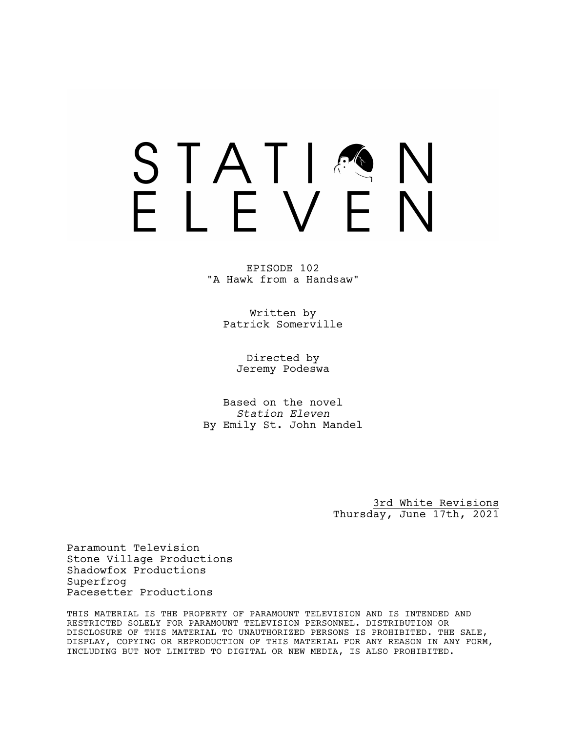# STATIA FIFVFN

EPISODE 102 "A Hawk from a Handsaw"

> Written by Patrick Somerville

> > Directed by Jeremy Podeswa

Based on the novel *Station Eleven* By Emily St. John Mandel

> 3rd White Revisions Thursday, June 17th, 2021

Paramount Television Stone Village Productions Shadowfox Productions Superfrog Pacesetter Productions

THIS MATERIAL IS THE PROPERTY OF PARAMOUNT TELEVISION AND IS INTENDED AND RESTRICTED SOLELY FOR PARAMOUNT TELEVISION PERSONNEL. DISTRIBUTION OR DISCLOSURE OF THIS MATERIAL TO UNAUTHORIZED PERSONS IS PROHIBITED. THE SALE, DISPLAY, COPYING OR REPRODUCTION OF THIS MATERIAL FOR ANY REASON IN ANY FORM, INCLUDING BUT NOT LIMITED TO DIGITAL OR NEW MEDIA, IS ALSO PROHIBITED.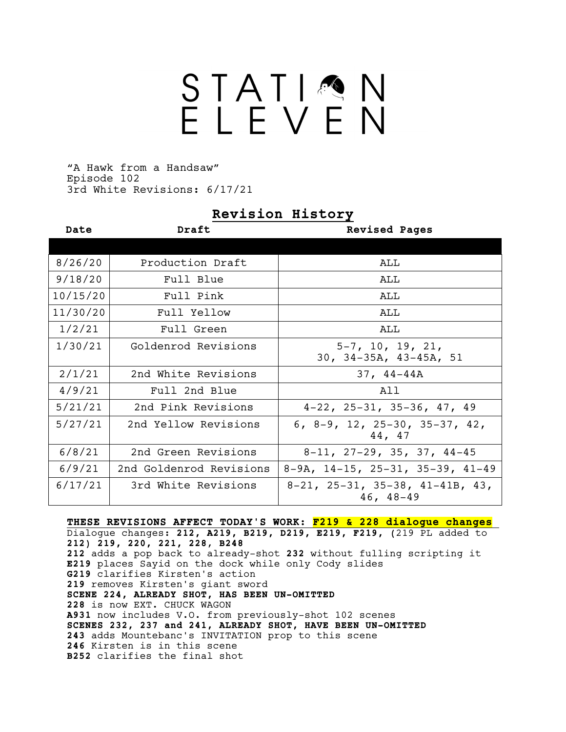# STATIMN<br>ELEVEN

"A Hawk from a Handsaw" Episode 102 3rd White Revisions: 6/17/21

### **Revision History**

| Date     | Draft                   | <b>Revised Pages</b>                                            |
|----------|-------------------------|-----------------------------------------------------------------|
|          |                         |                                                                 |
| 8/26/20  | Production Draft        | ALL                                                             |
| 9/18/20  | Full Blue               | ALL                                                             |
| 10/15/20 | Full Pink               | ALL                                                             |
| 11/30/20 | Full Yellow             | ALL                                                             |
| 1/2/21   | Full Green              | ALL                                                             |
| 1/30/21  | Goldenrod Revisions     | $5-7$ , 10, 19, 21,<br>$30, 34-35A, 43-45A, 51$                 |
| 2/1/21   | 2nd White Revisions     | $37, 44-44A$                                                    |
| 4/9/21   | Full 2nd Blue           | A 1 1                                                           |
| 5/21/21  | 2nd Pink Revisions      | $4-22$ , $25-31$ , $35-36$ , $47$ , $49$                        |
| 5/27/21  | 2nd Yellow Revisions    | 6, 8-9, 12, 25-30, 35-37, 42,<br>44, 47                         |
| 6/8/21   | 2nd Green Revisions     | $8-11$ , $27-29$ , $35$ , $37$ , $44-45$                        |
| 6/9/21   | 2nd Goldenrod Revisions | $8-9A$ , $14-15$ , $25-31$ , $35-39$ , $41-49$                  |
| 6/17/21  | 3rd White Revisions     | $8-21$ , $25-31$ , $35-38$ , $41-41B$ , $43$ ,<br>$46, 48 - 49$ |

**THESE REVISIONS AFFECT TODAY'S WORK: F219 & 228 dialogue changes** Dialogue changes: **212, A219, B219, D219, E219, F219, (**219 PL added to **212) 219, 220, 221, 228**, **B248 212** adds a pop back to already-shot **232** without fulling scripting it **E219** places Sayid on the dock while only Cody slides **G219** clarifies Kirsten's action **219** removes Kirsten's giant sword **SCENE 224, ALREADY SHOT, HAS BEEN UN-OMITTED 228** is now EXT. CHUCK WAGON **A931** now includes V.O. from previously-shot 102 scenes **SCENES 232, 237 and 241, ALREADY SHOT, HAVE BEEN UN-OMITTED 243** adds Mountebanc's INVITATION prop to this scene **246** Kirsten is in this scene **B252** clarifies the final shot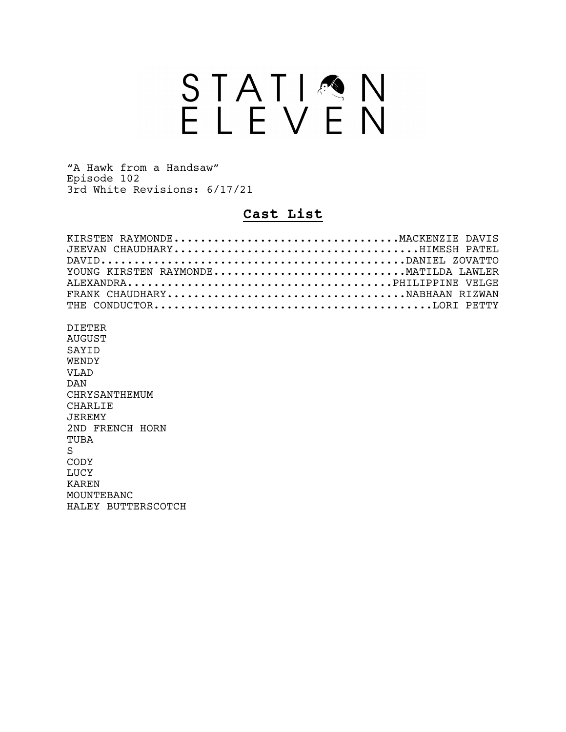# STATION<br>ELEVEN

"A Hawk from a Handsaw" Episode 102 3rd White Revisions: 6/17/21

### **Cast List**

| KIRSTEN RAYMONDEMACKENZIE DAVIS      |  |
|--------------------------------------|--|
|                                      |  |
|                                      |  |
| YOUNG KIRSTEN RAYMONDEMATILDA LAWLER |  |
|                                      |  |
|                                      |  |
|                                      |  |
|                                      |  |
| $\Gamma$                             |  |

DIETER AUGUST SAYID WENDY VLAD DAN CHRYSANTHEMUM CHARLIE JEREMY 2ND FRENCH HORN TUBA S CODY LUCY KAREN MOUNTEBANC HALEY BUTTERSCOTCH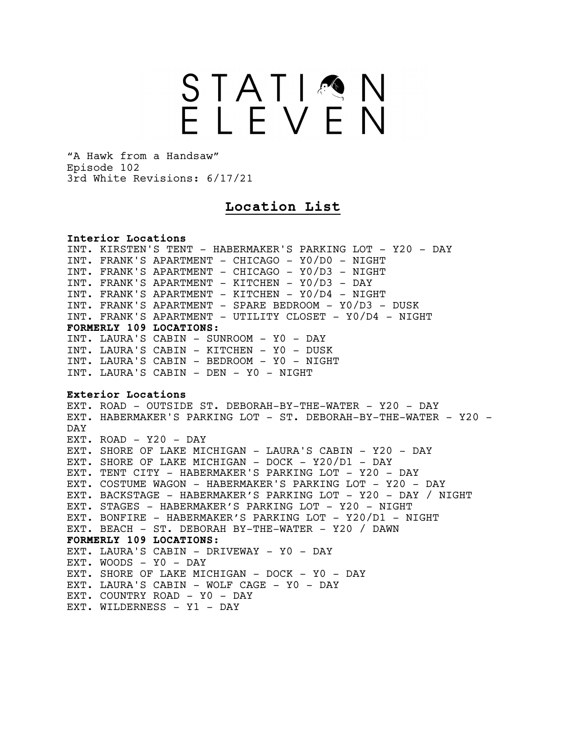# STATIMN<br>ELEVEN

"A Hawk from a Handsaw" Episode 102 3rd White Revisions: 6/17/21

## **Location List**

**Interior Locations** INT. KIRSTEN'S TENT - HABERMAKER'S PARKING LOT - Y20 - DAY INT. FRANK'S APARTMENT - CHICAGO - Y0/D0 - NIGHT INT. FRANK'S APARTMENT - CHICAGO - Y0/D3 - NIGHT INT. FRANK'S APARTMENT - KITCHEN - Y0/D3 - DAY INT. FRANK'S APARTMENT - KITCHEN - Y0/D4 - NIGHT INT. FRANK'S APARTMENT - SPARE BEDROOM - Y0/D3 - DUSK INT. FRANK'S APARTMENT - UTILITY CLOSET - Y0/D4 - NIGHT **FORMERLY 109 LOCATIONS:** INT. LAURA'S CABIN - SUNROOM - Y0 - DAY INT. LAURA'S CABIN - KITCHEN - Y0 - DUSK INT. LAURA'S CABIN - BEDROOM - Y0 - NIGHT INT. LAURA'S CABIN - DEN - Y0 - NIGHT **Exterior Locations** EXT. ROAD - OUTSIDE ST. DEBORAH-BY-THE-WATER - Y20 - DAY EXT. HABERMAKER'S PARKING LOT - ST. DEBORAH-BY-THE-WATER - Y20 -DAY EXT. ROAD - Y20 - DAY EXT. SHORE OF LAKE MICHIGAN - LAURA'S CABIN - Y20 - DAY EXT. SHORE OF LAKE MICHIGAN - DOCK - Y20/D1 - DAY EXT. TENT CITY - HABERMAKER'S PARKING LOT - Y20 - DAY EXT. COSTUME WAGON - HABERMAKER'S PARKING LOT - Y20 - DAY EXT. BACKSTAGE - HABERMAKER'S PARKING LOT - Y20 - DAY / NIGHT EXT. STAGES - HABERMAKER'S PARKING LOT - Y20 - NIGHT EXT. BONFIRE - HABERMAKER'S PARKING LOT - Y20/D1 - NIGHT EXT. BEACH - ST. DEBORAH BY-THE-WATER - Y20 / DAWN **FORMERLY 109 LOCATIONS:** EXT. LAURA'S CABIN - DRIVEWAY - Y0 - DAY EXT. WOODS - Y0 - DAY EXT. SHORE OF LAKE MICHIGAN - DOCK - YO - DAY EXT. LAURA'S CABIN - WOLF CAGE - Y0 - DAY EXT. COUNTRY ROAD - Y0 - DAY EXT. WILDERNESS - Y1 - DAY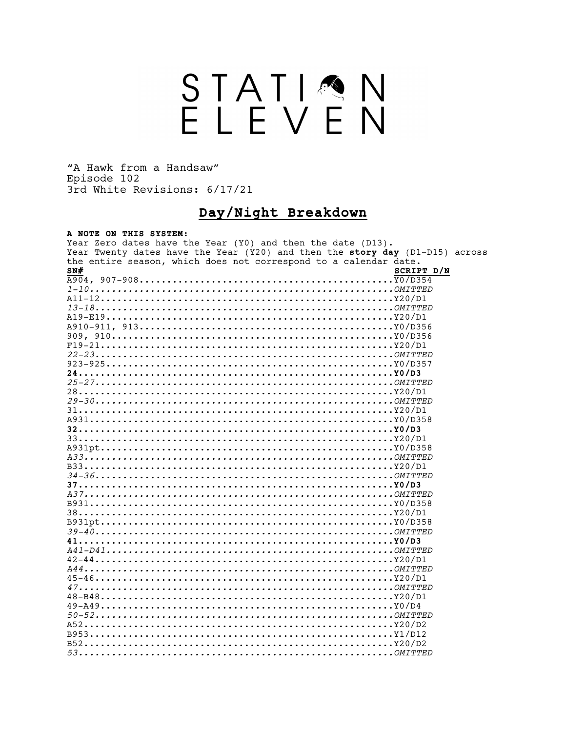# STATION<br>ELEVEN

"A Hawk from a Handsaw" Episode 102 3rd White Revisions: 6/17/21

# Day/Night Breakdown

#### A NOTE ON THIS SYSTEM:

| Year Zero dates have the Year (Y0) and then the date (D13).                  |            |  |
|------------------------------------------------------------------------------|------------|--|
| Year Twenty dates have the Year (Y20) and then the story day (D1-D15) across |            |  |
| the entire season, which does not correspond to a calendar date.             |            |  |
| SN#                                                                          | SCRIPT D/N |  |
|                                                                              |            |  |
|                                                                              |            |  |
|                                                                              |            |  |
|                                                                              |            |  |
|                                                                              |            |  |
|                                                                              |            |  |
|                                                                              |            |  |
| $F19-21Y20/D1$                                                               |            |  |
|                                                                              |            |  |
|                                                                              |            |  |
|                                                                              |            |  |
|                                                                              |            |  |
|                                                                              |            |  |
|                                                                              |            |  |
|                                                                              |            |  |
|                                                                              |            |  |
|                                                                              |            |  |
|                                                                              |            |  |
|                                                                              |            |  |
|                                                                              |            |  |
|                                                                              |            |  |
|                                                                              |            |  |
|                                                                              |            |  |
|                                                                              |            |  |
|                                                                              |            |  |
|                                                                              |            |  |
|                                                                              |            |  |
|                                                                              |            |  |
|                                                                              |            |  |
|                                                                              |            |  |
|                                                                              |            |  |
|                                                                              |            |  |
|                                                                              |            |  |
|                                                                              |            |  |
|                                                                              |            |  |
|                                                                              |            |  |
|                                                                              |            |  |
|                                                                              |            |  |
|                                                                              |            |  |
|                                                                              |            |  |
|                                                                              |            |  |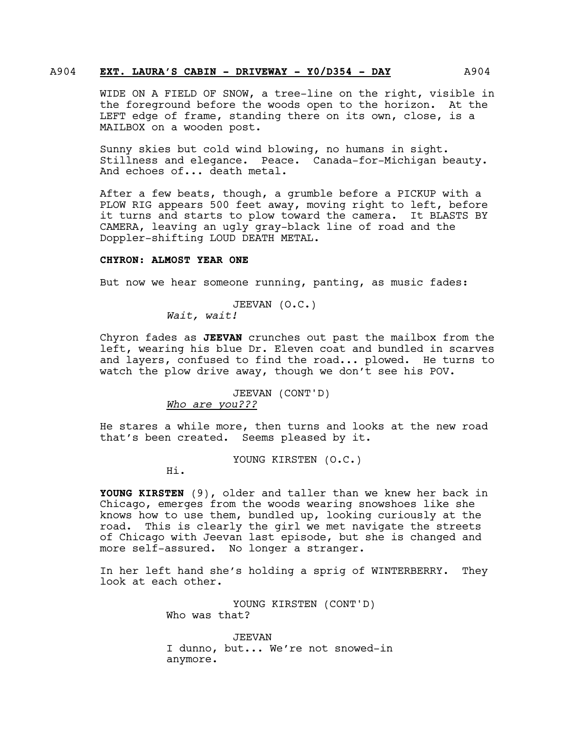#### A904 **EXT. LAURA'S CABIN - DRIVEWAY - Y0/D354 - DAY** A904

WIDE ON A FIELD OF SNOW, a tree-line on the right, visible in the foreground before the woods open to the horizon. At the LEFT edge of frame, standing there on its own, close, is a MAILBOX on a wooden post.

Sunny skies but cold wind blowing, no humans in sight. Stillness and elegance. Peace. Canada-for-Michigan beauty. And echoes of... death metal.

After a few beats, though, a grumble before a PICKUP with a PLOW RIG appears 500 feet away, moving right to left, before it turns and starts to plow toward the camera. It BLASTS BY CAMERA, leaving an ugly gray-black line of road and the Doppler-shifting LOUD DEATH METAL.

#### **CHYRON: ALMOST YEAR ONE**

But now we hear someone running, panting, as music fades:

JEEVAN (O.C.) *Wait, wait!*

Chyron fades as **JEEVAN** crunches out past the mailbox from the left, wearing his blue Dr. Eleven coat and bundled in scarves and layers, confused to find the road... plowed. He turns to watch the plow drive away, though we don't see his POV.

#### JEEVAN (CONT'D) *Who are you???*

He stares a while more, then turns and looks at the new road that's been created. Seems pleased by it.

YOUNG KIRSTEN (O.C.)

Hi.

**YOUNG KIRSTEN** (9), older and taller than we knew her back in Chicago, emerges from the woods wearing snowshoes like she knows how to use them, bundled up, looking curiously at the road. This is clearly the girl we met navigate the streets of Chicago with Jeevan last episode, but she is changed and more self-assured. No longer a stranger.

In her left hand she's holding a sprig of WINTERBERRY. They look at each other.

> YOUNG KIRSTEN (CONT'D) Who was that?

JEEVAN I dunno, but... We're not snowed-in anymore.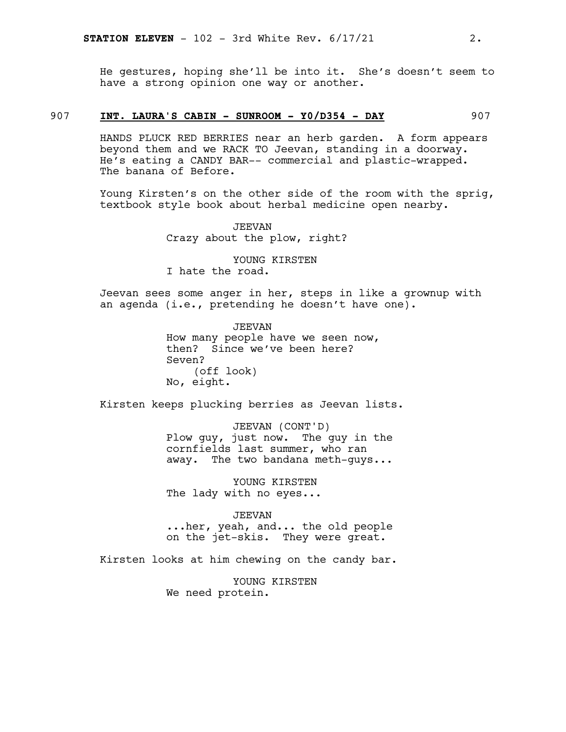He gestures, hoping she'll be into it. She's doesn't seem to have a strong opinion one way or another.

#### 907 **INT. LAURA'S CABIN - SUNROOM - Y0/D354 - DAY** 907

HANDS PLUCK RED BERRIES near an herb garden. A form appears beyond them and we RACK TO Jeevan, standing in a doorway. He's eating a CANDY BAR-- commercial and plastic-wrapped. The banana of Before.

Young Kirsten's on the other side of the room with the sprig, textbook style book about herbal medicine open nearby.

> JEEVAN Crazy about the plow, right?

YOUNG KIRSTEN I hate the road.

Jeevan sees some anger in her, steps in like a grownup with an agenda (i.e., pretending he doesn't have one).

> JEEVAN How many people have we seen now, then? Since we've been here? Seven? (off look) No, eight.

Kirsten keeps plucking berries as Jeevan lists.

JEEVAN (CONT'D) Plow guy, just now. The guy in the cornfields last summer, who ran away. The two bandana meth-guys...

YOUNG KIRSTEN The lady with no eyes...

JEEVAN ...her, yeah, and... the old people on the jet-skis. They were great.

Kirsten looks at him chewing on the candy bar.

YOUNG KIRSTEN We need protein.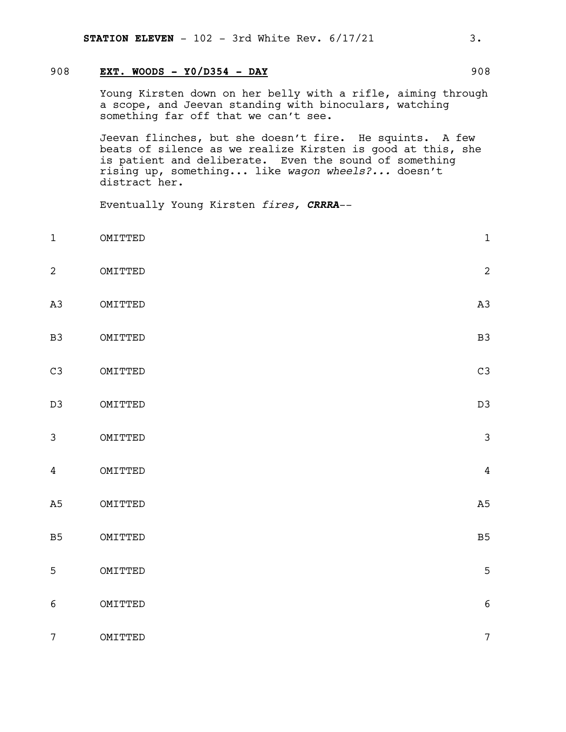#### 908 **EXT. WOODS - Y0/D354 - DAY** 908

Young Kirsten down on her belly with a rifle, aiming through a scope, and Jeevan standing with binoculars, watching something far off that we can't see.

Jeevan flinches, but she doesn't fire. He squints. A few beats of silence as we realize Kirsten is good at this, she is patient and deliberate. Even the sound of something rising up, something... like *wagon wheels?...* doesn't distract her.

Eventually Young Kirsten *fires, CRRRA*--

- 1 OMITTED 1
- 2 OMITTED 2
- A3 OMITTED A3
- B3 OMITTED B3
- C3 OMITTED C3
- D3 OMITTED D3
- 3 OMITTED 3
- 4 OMITTED 4
- A5 OMITTED
- B5 OMITTED B5
- 5 OMITTED 5 6 OMITTED 6
- 7 OMITTED 7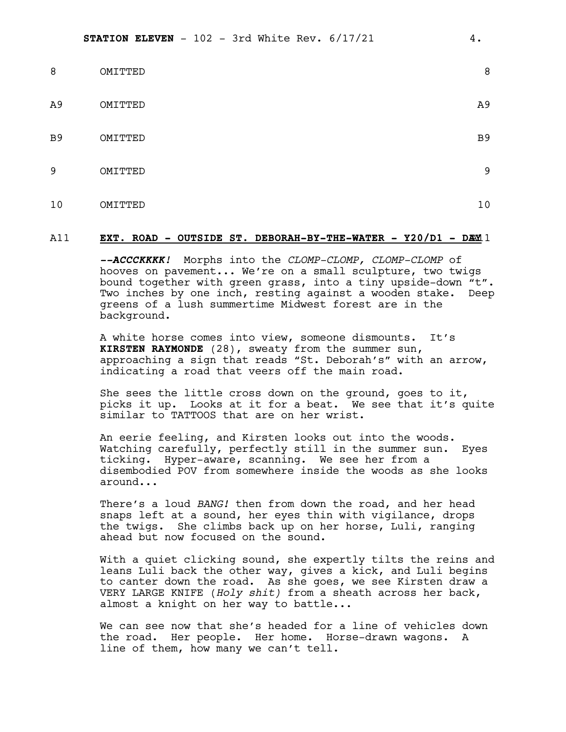| 8              | OMITTED | 8              |
|----------------|---------|----------------|
| A <sub>9</sub> | OMITTED | A <sub>9</sub> |
| B <sub>9</sub> | OMITTED | B <sub>9</sub> |
| 9              | OMITTED | 9              |
| 10             | OMITTED | 10             |

#### A11 **EXT. ROAD - OUTSIDE ST. DEBORAH-BY-THE-WATER - Y20/D1 - DA**A11 **Y**

*--ACCCKKKK!* Morphs into the *CLOMP-CLOMP, CLOMP-CLOMP* of hooves on pavement... We're on a small sculpture, two twigs bound together with green grass, into a tiny upside-down "t". Two inches by one inch, resting against a wooden stake. Deep greens of a lush summertime Midwest forest are in the background.

A white horse comes into view, someone dismounts. It's **KIRSTEN RAYMONDE** (28), sweaty from the summer sun, approaching a sign that reads "St. Deborah's" with an arrow, indicating a road that veers off the main road.

She sees the little cross down on the ground, goes to it, picks it up. Looks at it for a beat. We see that it's quite similar to TATTOOS that are on her wrist.

An eerie feeling, and Kirsten looks out into the woods. Watching carefully, perfectly still in the summer sun. Eyes ticking. Hyper-aware, scanning. We see her from a disembodied POV from somewhere inside the woods as she looks around...

There's a loud *BANG!* then from down the road, and her head snaps left at a sound, her eyes thin with vigilance, drops the twigs. She climbs back up on her horse, Luli, ranging ahead but now focused on the sound.

With a quiet clicking sound, she expertly tilts the reins and leans Luli back the other way, gives a kick, and Luli begins to canter down the road. As she goes, we see Kirsten draw a VERY LARGE KNIFE (*Holy shit)* from a sheath across her back, almost a knight on her way to battle...

We can see now that she's headed for a line of vehicles down the road. Her people. Her home. Horse-drawn wagons. A line of them, how many we can't tell.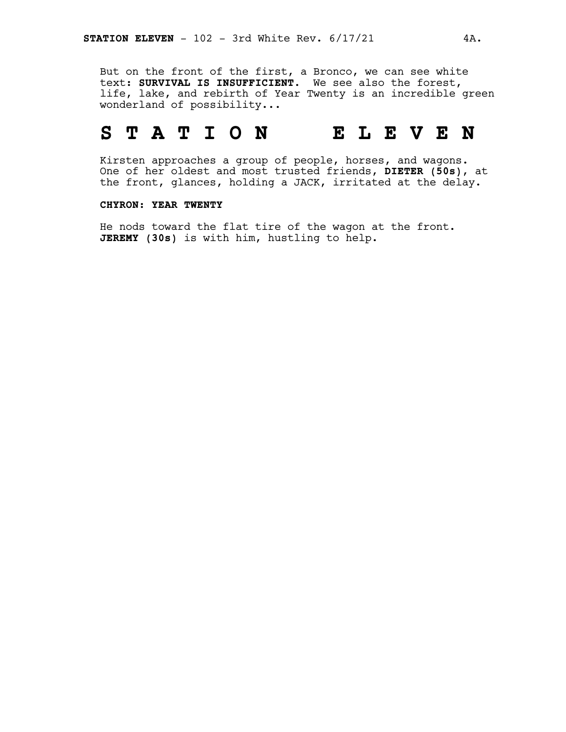But on the front of the first, a Bronco, we can see white text: **SURVIVAL IS INSUFFICIENT.** We see also the forest, life, lake, and rebirth of Year Twenty is an incredible green wonderland of possibility...

# **S T A T I O N E L E V E N**

Kirsten approaches a group of people, horses, and wagons. One of her oldest and most trusted friends, **DIETER (50s)**, at the front, glances, holding a JACK, irritated at the delay.

#### **CHYRON: YEAR TWENTY**

He nods toward the flat tire of the wagon at the front. **JEREMY (30s)** is with him, hustling to help.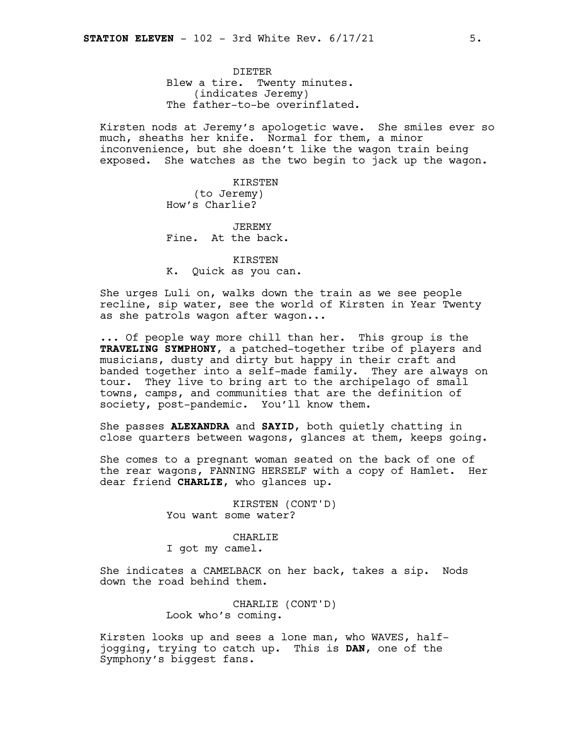DIETER Blew a tire. Twenty minutes. (indicates Jeremy) The father-to-be overinflated.

Kirsten nods at Jeremy's apologetic wave. She smiles ever so much, sheaths her knife. Normal for them, a minor inconvenience, but she doesn't like the wagon train being exposed. She watches as the two begin to jack up the wagon.

> KIRSTEN (to Jeremy) How's Charlie?

JEREMY Fine. At the back.

KIRSTEN K. Quick as you can.

She urges Luli on, walks down the train as we see people recline, sip water, see the world of Kirsten in Year Twenty as she patrols wagon after wagon...

... Of people way more chill than her. This group is the **TRAVELING SYMPHONY**, a patched-together tribe of players and musicians, dusty and dirty but happy in their craft and banded together into a self-made family. They are always on tour. They live to bring art to the archipelago of small towns, camps, and communities that are the definition of society, post-pandemic. You'll know them.

She passes **ALEXANDRA** and **SAYID**, both quietly chatting in close quarters between wagons, glances at them, keeps going.

She comes to a pregnant woman seated on the back of one of the rear wagons, FANNING HERSELF with a copy of Hamlet. Her dear friend **CHARLIE**, who glances up.

> KIRSTEN (CONT'D) You want some water?

CHARLIE I got my camel.

She indicates a CAMELBACK on her back, takes a sip. Nods down the road behind them.

> CHARLIE (CONT'D) Look who's coming.

Kirsten looks up and sees a lone man, who WAVES, halfjogging, trying to catch up. This is **DAN**, one of the Symphony's biggest fans.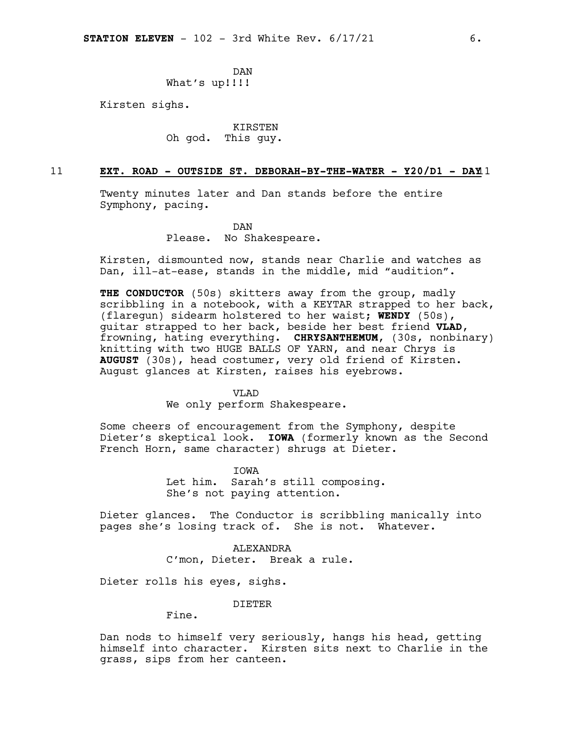DAN What's up!!!!

Kirsten sighs.

KIRSTEN Oh god. This guy.

#### 11 **EXT. ROAD - OUTSIDE ST. DEBORAH-BY-THE-WATER - Y20/D1 - DAY**11

Twenty minutes later and Dan stands before the entire Symphony, pacing.

> DAN Please. No Shakespeare.

Kirsten, dismounted now, stands near Charlie and watches as Dan, ill-at-ease, stands in the middle, mid "audition".

**THE CONDUCTOR** (50s) skitters away from the group, madly scribbling in a notebook, with a KEYTAR strapped to her back, (flaregun) sidearm holstered to her waist; **WENDY** (50s), guitar strapped to her back, beside her best friend **VLAD**, frowning, hating everything. **CHRYSANTHEMUM**, (30s, nonbinary) knitting with two HUGE BALLS OF YARN, and near Chrys is **AUGUST** (30s), head costumer, very old friend of Kirsten. August glances at Kirsten, raises his eyebrows.

VLAD

We only perform Shakespeare.

Some cheers of encouragement from the Symphony, despite Dieter's skeptical look. **IOWA** (formerly known as the Second French Horn, same character) shrugs at Dieter.

> IOWA Let him. Sarah's still composing. She's not paying attention.

Dieter glances. The Conductor is scribbling manically into pages she's losing track of. She is not. Whatever.

> ALEXANDRA C'mon, Dieter. Break a rule.

Dieter rolls his eyes, sighs.

DIETER

Fine.

Dan nods to himself very seriously, hangs his head, getting himself into character. Kirsten sits next to Charlie in the grass, sips from her canteen.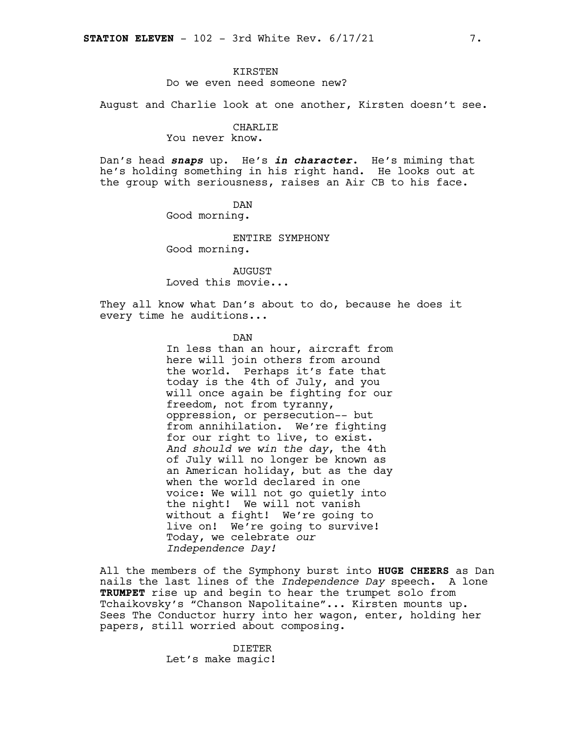#### KIRSTEN

#### Do we even need someone new?

August and Charlie look at one another, Kirsten doesn't see.

#### CHARLIE

You never know.

Dan's head *snaps* up. He's *in character*. He's miming that he's holding something in his right hand. He looks out at the group with seriousness, raises an Air CB to his face.

> DAN Good morning.

ENTIRE SYMPHONY Good morning.

AUGUST Loved this movie...

They all know what Dan's about to do, because he does it every time he auditions...

DAN

In less than an hour, aircraft from here will join others from around the world. Perhaps it's fate that today is the 4th of July, and you will once again be fighting for our freedom, not from tyranny, oppression, or persecution-- but from annihilation. We're fighting for our right to live, to exist. *And should we win the day*, the 4th of July will no longer be known as an American holiday, but as the day when the world declared in one voice: We will not go quietly into the night! We will not vanish without a fight! We're going to live on! We're going to survive! Today, we celebrate *our Independence Day!*

All the members of the Symphony burst into **HUGE CHEERS** as Dan nails the last lines of the *Independence Day* speech. A lone **TRUMPET** rise up and begin to hear the trumpet solo from Tchaikovsky's "Chanson Napolitaine"... Kirsten mounts up. Sees The Conductor hurry into her wagon, enter, holding her papers, still worried about composing.

> DIETER Let's make magic!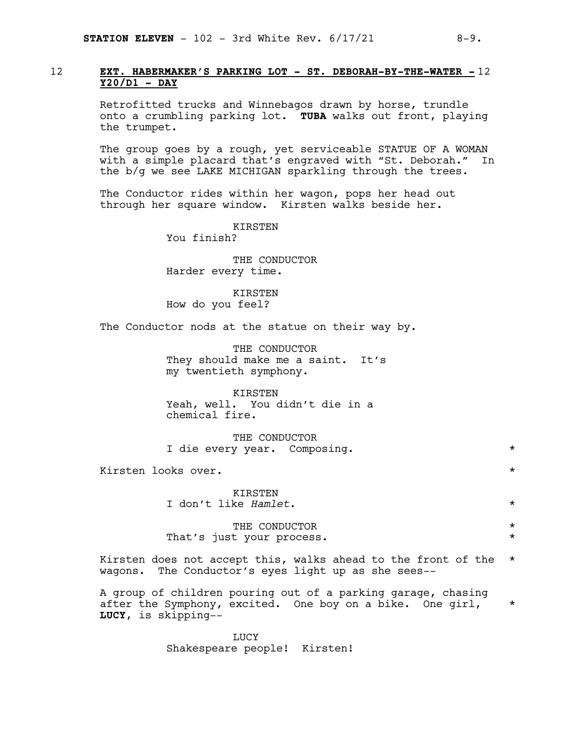#### 12 **EXT. HABERMAKER'S PARKING LOT - ST. DEBORAH-BY-THE-WATER -** 12 **Y20/D1 - DAY**

Retrofitted trucks and Winnebagos drawn by horse, trundle onto a crumbling parking lot. **TUBA** walks out front, playing the trumpet.

The group goes by a rough, yet serviceable STATUE OF A WOMAN with a simple placard that's engraved with "St. Deborah." In the b/g we see LAKE MICHIGAN sparkling through the trees.

The Conductor rides within her wagon, pops her head out through her square window. Kirsten walks beside her.

> KIRSTEN You finish?

THE CONDUCTOR Harder every time.

**KIRSTEN** How do you feel?

The Conductor nods at the statue on their way by.

THE CONDUCTOR They should make me a saint. It's my twentieth symphony.

KIRSTEN Yeah, well. You didn't die in a chemical fire.

THE CONDUCTOR I die every year. Composing. \*

Kirsten looks over. \*

KIRSTEN I don't like *Hamlet.* \*

THE CONDUCTOR  $\qquad \qquad \star$ That's just your process.

Kirsten does not accept this, walks ahead to the front of the \* wagons. The Conductor's eyes light up as she sees--

A group of children pouring out of a parking garage, chasing after the Symphony, excited. One boy on a bike. One girl, \* **LUCY**, is skipping--

> LUCY Shakespeare people! Kirsten!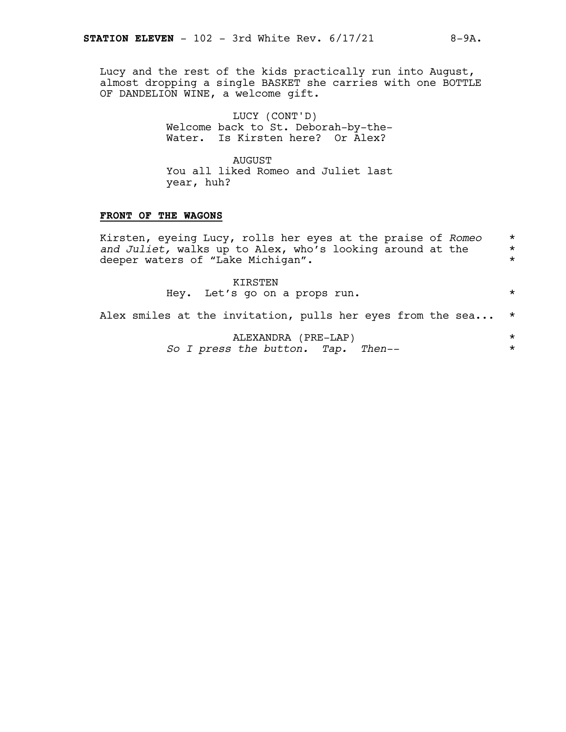Lucy and the rest of the kids practically run into August, almost dropping a single BASKET she carries with one BOTTLE OF DANDELION WINE, a welcome gift.

> LUCY (CONT'D) Welcome back to St. Deborah-by-the-Water. Is Kirsten here? Or Alex?

> AUGUST You all liked Romeo and Juliet last year, huh?

#### **FRONT OF THE WAGONS**

Kirsten, eyeing Lucy, rolls her eyes at the praise of *Romeo* \* and *Juliet*, walks up to Alex, who's looking around at the  $*$ <br>deeper waters of "Lake Michigan". deeper waters of "Lake Michigan".

> KIRSTEN Hey. Let's go on a props run.  $*$

Alex smiles at the invitation, pulls her eyes from the sea... \*

ALEXANDRA (PRE-LAP) \* *So I press the button. Tap. Then--* \*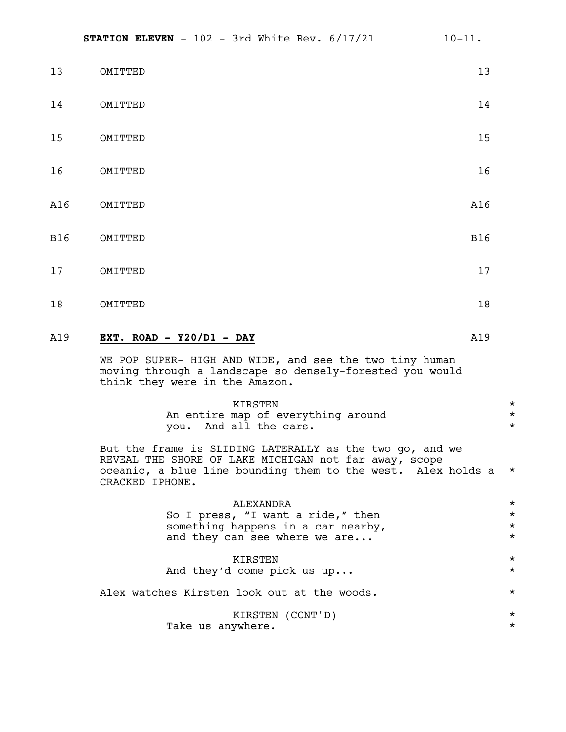| 13         | OMITTED | 13         |
|------------|---------|------------|
| 14         | OMITTED | 14         |
| 15         | OMITTED | 15         |
| 16         | OMITTED | 16         |
| A16        | OMITTED | A16        |
| <b>B16</b> | OMITTED | <b>B16</b> |
| 17         | OMITTED | 17         |
|            |         |            |

#### A19 **EXT. ROAD - Y20/D1 - DAY** A19

WE POP SUPER- HIGH AND WIDE, and see the two tiny human moving through a landscape so densely-forested you would think they were in the Amazon.

18 OMITTED 18

| KTRSTEN                            |  |
|------------------------------------|--|
| An entire map of everything around |  |
| you. And all the cars.             |  |

But the frame is SLIDING LATERALLY as the two go, and we REVEAL THE SHORE OF LAKE MICHIGAN not far away, scope oceanic, a blue line bounding them to the west. Alex holds a \* CRACKED IPHONE.

| ALEXANDRA                                   | $^\star$ |
|---------------------------------------------|----------|
| So I press, "I want a ride," then           | $\star$  |
| something happens in a car nearby,          | $\star$  |
| and they can see where we are               | $\star$  |
| KIRSTEN                                     | $\star$  |
| And they'd come pick us up                  | $\star$  |
| Alex watches Kirsten look out at the woods. | $\star$  |
| KIRSTEN (CONT'D)                            | $^\star$ |
| Take us anywhere.                           | $\star$  |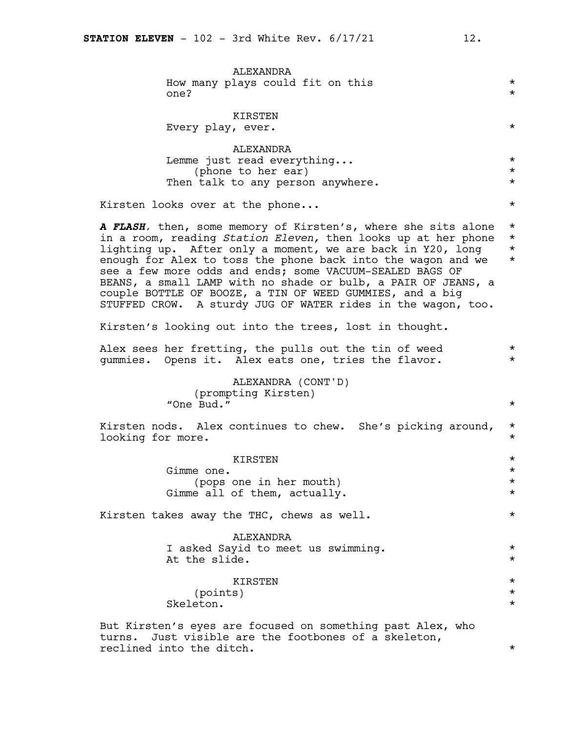| ALEXANDRA<br>How many plays could fit on this<br>one?                                                                                                                                                                                                                                                                                                                                                                                                                                                                 | $^\star$<br>$^\star$                         |
|-----------------------------------------------------------------------------------------------------------------------------------------------------------------------------------------------------------------------------------------------------------------------------------------------------------------------------------------------------------------------------------------------------------------------------------------------------------------------------------------------------------------------|----------------------------------------------|
| KIRSTEN<br>Every play, ever.                                                                                                                                                                                                                                                                                                                                                                                                                                                                                          | $^\star$                                     |
| ALEXANDRA<br>Lemme just read everything<br>(phone to her ear)<br>Then talk to any person anywhere.                                                                                                                                                                                                                                                                                                                                                                                                                    | $^\star$<br>$^\star$<br>$^\star$             |
| Kirsten looks over at the phone                                                                                                                                                                                                                                                                                                                                                                                                                                                                                       | $^\star$                                     |
| A FLASH, then, some memory of Kirsten's, where she sits alone<br>in a room, reading Station Eleven, then looks up at her phone<br>lighting up. After only a moment, we are back in Y20, long<br>enough for Alex to toss the phone back into the wagon and we<br>see a few more odds and ends; some VACUUM-SEALED BAGS OF<br>BEANS, a small LAMP with no shade or bulb, a PAIR OF JEANS, a<br>couple BOTTLE OF BOOZE, a TIN OF WEED GUMMIES, and a big<br>STUFFED CROW. A sturdy JUG OF WATER rides in the wagon, too. | $^\star$<br>$^\star$<br>$^\star$<br>$^\star$ |
| Kirsten's looking out into the trees, lost in thought.                                                                                                                                                                                                                                                                                                                                                                                                                                                                |                                              |
| Alex sees her fretting, the pulls out the tin of weed<br>gummies. Opens it. Alex eats one, tries the flavor.                                                                                                                                                                                                                                                                                                                                                                                                          | $\star$<br>$^\star$                          |
| ALEXANDRA (CONT'D)<br>(prompting Kirsten)<br>"One Bud."                                                                                                                                                                                                                                                                                                                                                                                                                                                               | $^\star$                                     |
| Kirsten nods. Alex continues to chew. She's picking around,<br>looking for more.                                                                                                                                                                                                                                                                                                                                                                                                                                      | $^\star$<br>$^\star$                         |
| KIRSTEN<br>Gimme one.<br>(pops one in her mouth)<br>Gimme all of them, actually.                                                                                                                                                                                                                                                                                                                                                                                                                                      | $^\star$<br>$^\star$<br>$^\star$<br>$^\star$ |
| Kirsten takes away the THC, chews as well.                                                                                                                                                                                                                                                                                                                                                                                                                                                                            | $^\star$                                     |
| <b>ALEXANDRA</b><br>I asked Sayid to meet us swimming.<br>At the slide.                                                                                                                                                                                                                                                                                                                                                                                                                                               | $^\star$<br>$^\star$                         |
| KIRSTEN<br>(points)<br>Skeleton.                                                                                                                                                                                                                                                                                                                                                                                                                                                                                      | $^\star$<br>$^\star$<br>$^\star$             |
| But Kirsten's eyes are focused on something past Alex, who<br>Just visible are the footbones of a skeleton,<br>turns.                                                                                                                                                                                                                                                                                                                                                                                                 |                                              |

reclined into the ditch.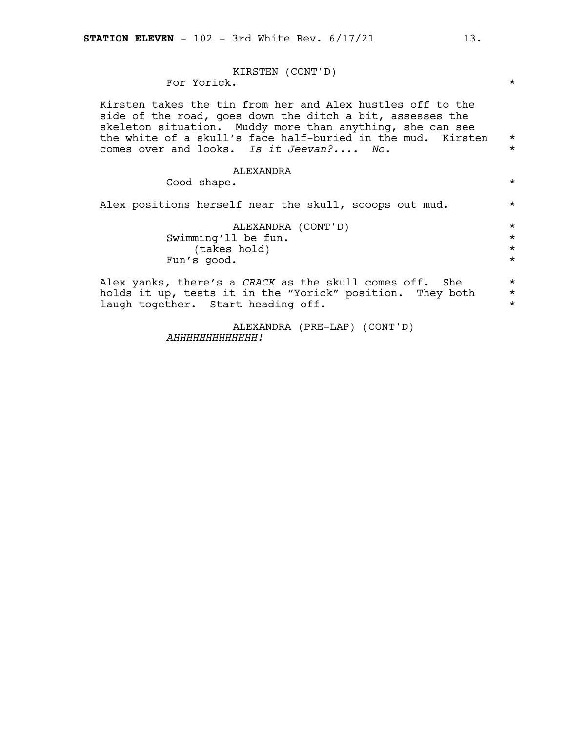KIRSTEN (CONT'D) For Yorick. \* Kirsten takes the tin from her and Alex hustles off to the side of the road, goes down the ditch a bit, assesses the skeleton situation. Muddy more than anything, she can see the white of a skull's face half-buried in the mud. Kirsten \* comes over and looks. *Is it Jeevan?.... No.* \* ALEXANDRA Good shape.  $\star$ Alex positions herself near the skull, scoops out mud. \* ALEXANDRA (CONT'D) \* Swimming'll be fun. \*  $(\text{takes hold})$ <br>s good.  $\star$ Fun's good. Alex yanks, there's a *CRACK* as the skull comes off. She \* holds it up, tests it in the "Yorick" position. They both  $*$ <br>laugh together start heading off laugh together. Start heading off.

> ALEXANDRA (PRE-LAP) (CONT'D) *AHHHHHHHHHHHHH!*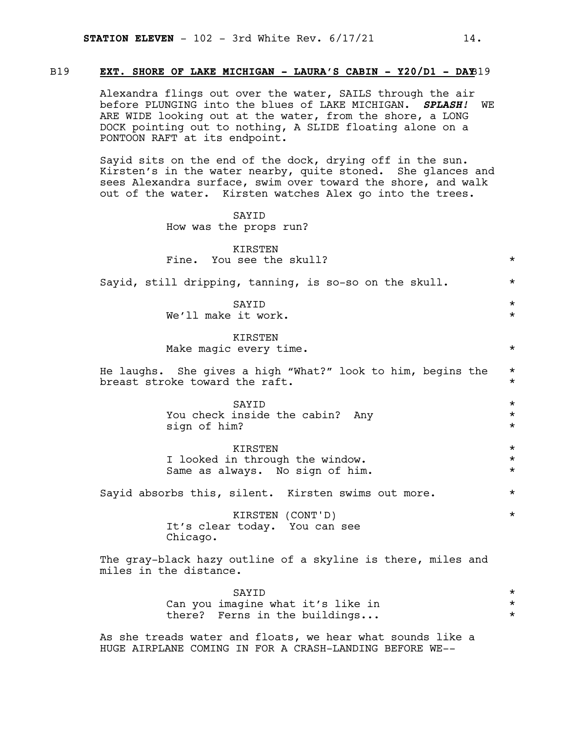#### B19 **EXT. SHORE OF LAKE MICHIGAN - LAURA'S CABIN - Y20/D1 - DAY**B19

Alexandra flings out over the water, SAILS through the air before PLUNGING into the blues of LAKE MICHIGAN. *SPLASH!* WE ARE WIDE looking out at the water, from the shore, a LONG DOCK pointing out to nothing, A SLIDE floating alone on a PONTOON RAFT at its endpoint.

Sayid sits on the end of the dock, drying off in the sun. Kirsten's in the water nearby, quite stoned. She glances and sees Alexandra surface, swim over toward the shore, and walk out of the water. Kirsten watches Alex go into the trees.

> SAYID How was the props run?

| KIRSTEN                                                                                       |                                |
|-----------------------------------------------------------------------------------------------|--------------------------------|
| Fine. You see the skull?                                                                      | $\star$                        |
| Sayid, still dripping, tanning, is so-so on the skull.                                        | $\star$                        |
| SAYID<br>We'll make it work.                                                                  | $\star$<br>$\star$             |
| <b>KIRSTEN</b><br>Make magic every time.                                                      | $\star$                        |
| He laughs. She gives a high "What?" look to him, begins the<br>breast stroke toward the raft. | $\star$<br>$\star$             |
| SAYID<br>You check inside the cabin? Any<br>sign of him?                                      | $\star$<br>$\star$<br>$\star$  |
| KIRSTEN<br>I looked in through the window.<br>Same as always. No sign of him.                 | $\star$<br>$\star$<br>$\star$  |
| Sayid absorbs this, silent. Kirsten swims out more.                                           | $\star$                        |
| KIRSTEN (CONT'D)<br>It's clear today. You can see<br>Chicago.                                 | $\star$                        |
| The gray-black hazy outline of a skyline is there, miles and<br>miles in the distance.        |                                |
| SAYID<br>Can you imagine what it's like in<br>there? Ferns in the buildings                   | $\star$<br>$\star$<br>$^\star$ |

As she treads water and floats, we hear what sounds like a HUGE AIRPLANE COMING IN FOR A CRASH-LANDING BEFORE WE--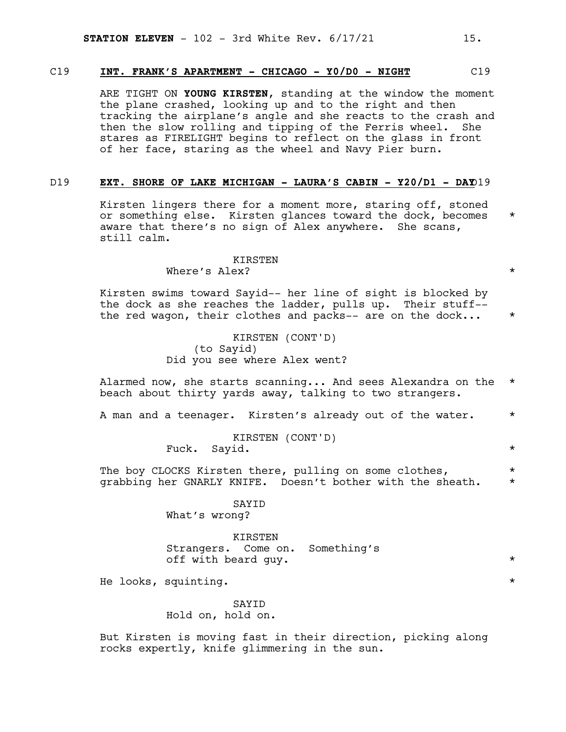#### C19 **INT. FRANK'S APARTMENT - CHICAGO - Y0/D0 - NIGHT** C19

ARE TIGHT ON **YOUNG KIRSTEN**, standing at the window the moment the plane crashed, looking up and to the right and then tracking the airplane's angle and she reacts to the crash and then the slow rolling and tipping of the Ferris wheel. She stares as FIRELIGHT begins to reflect on the glass in front of her face, staring as the wheel and Navy Pier burn.

#### D19 **EXT. SHORE OF LAKE MICHIGAN - LAURA'S CABIN - Y20/D1 - DAY**D19

Kirsten lingers there for a moment more, staring off, stoned or something else. Kirsten glances toward the dock, becomes \* aware that there's no sign of Alex anywhere. She scans, still calm.

> KIRSTEN Where's Alex?  $\star$

Kirsten swims toward Sayid-- her line of sight is blocked by the dock as she reaches the ladder, pulls up. Their stuff- the red wagon, their clothes and packs-- are on the dock...  $*$ 

> KIRSTEN (CONT'D) (to Sayid) Did you see where Alex went?

Alarmed now, she starts scanning... And sees Alexandra on the \* beach about thirty yards away, talking to two strangers.

A man and a teenager. Kirsten's already out of the water.  $*$ 

KIRSTEN (CONT'D) Fuck. Sayid.  $\star$ 

The boy CLOCKS Kirsten there, pulling on some clothes,  $*$ grabbing her GNARLY KNIFE. Doesn't bother with the sheath. \*

> SAYID What's wrong?

KIRSTEN Strangers. Come on. Something's off with beard guy. \*

He looks, squinting.  $*$ 

#### SAYID Hold on, hold on.

But Kirsten is moving fast in their direction, picking along rocks expertly, knife glimmering in the sun.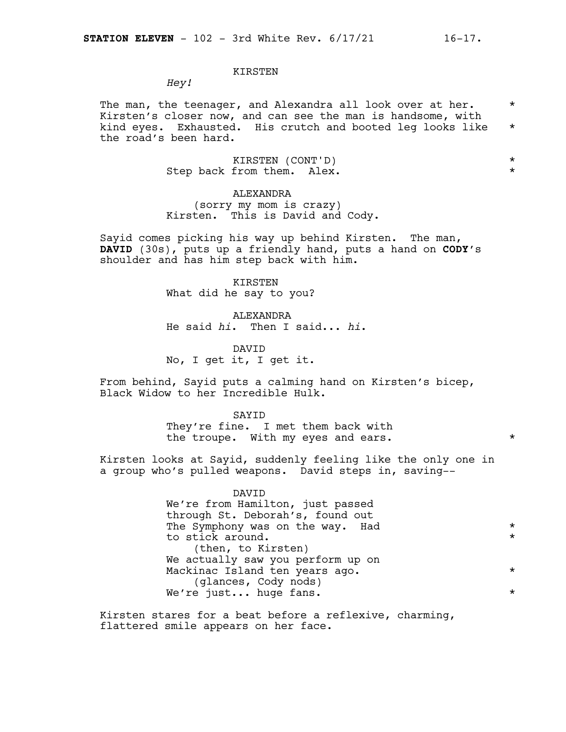#### KIRSTEN

*Hey!*

The man, the teenager, and Alexandra all look over at her.  $*$ Kirsten's closer now, and can see the man is handsome, with kind eyes. Exhausted. His crutch and booted leg looks like \* the road's been hard.

> KIRSTEN (CONT'D) \* Step back from them. Alex.  $*$

ALEXANDRA (sorry my mom is crazy) Kirsten. This is David and Cody.

Sayid comes picking his way up behind Kirsten. The man, **DAVID** (30s), puts up a friendly hand, puts a hand on **CODY**'s shoulder and has him step back with him.

> KIRSTEN What did he say to you?

ALEXANDRA He said *hi*. Then I said... *hi*.

DAVID No, I get it, I get it.

From behind, Sayid puts a calming hand on Kirsten's bicep, Black Widow to her Incredible Hulk.

> SAYID They're fine. I met them back with the troupe. With my eyes and ears. \* \*

Kirsten looks at Sayid, suddenly feeling like the only one in a group who's pulled weapons. David steps in, saving--

| DAVTD                             |          |
|-----------------------------------|----------|
| We're from Hamilton, just passed  |          |
| through St. Deborah's, found out  |          |
| The Symphony was on the way. Had  | $^\star$ |
| to stick around.                  | $\star$  |
| (then, to Kirsten)                |          |
| We actually saw you perform up on |          |
| Mackinac Island ten years ago.    | $^\star$ |
| (glances, Cody nods)              |          |
| We're just huge fans.             | $^\star$ |
|                                   |          |

Kirsten stares for a beat before a reflexive, charming, flattered smile appears on her face.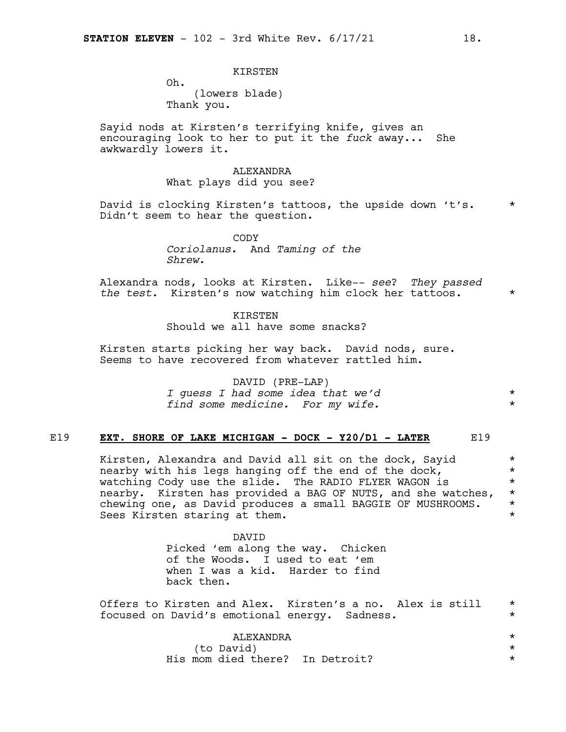#### KIRSTEN

Oh. (lowers blade) Thank you.

Sayid nods at Kirsten's terrifying knife, gives an encouraging look to her to put it the *fuck* away... She awkwardly lowers it.

#### ALEXANDRA What plays did you see?

David is clocking Kirsten's tattoos, the upside down 't's. \* Didn't seem to hear the question.

> CODY *Coriolanus*. And *Taming of the Shrew.*

Alexandra nods, looks at Kirsten. Like-- *see*? *They passed the test.* Kirsten's now watching him clock her tattoos. \*

> KIRSTEN Should we all have some snacks?

Kirsten starts picking her way back. David nods, sure. Seems to have recovered from whatever rattled him.

> DAVID (PRE-LAP) *I guess I had some idea that we'd* \* *find some medicine. For my wife.* \*

#### E19 **EXT. SHORE OF LAKE MICHIGAN - DOCK - Y20/D1 - LATER** E19

Kirsten, Alexandra and David all sit on the dock, Sayid  $*$ nearby with his legs hanging off the end of the dock,  $*$ watching Cody use the slide. The RADIO FLYER WAGON is  $\quad$ nearby. Kirsten has provided a BAG OF NUTS, and she watches,  $*$ chewing one, as David produces a small BAGGIE OF MUSHROOMS.  $\star$ <br>Sees Kirsten staring at them. Sees Kirsten staring at them.

> DAVID Picked 'em along the way. Chicken of the Woods. I used to eat 'em when I was a kid. Harder to find back then.

Offers to Kirsten and Alex. Kirsten's a no. Alex is still \* focused on David's emotional energy. Sadness. \*

#### ALEXANDRA \* (to David)

His mom died there? In Detroit? \*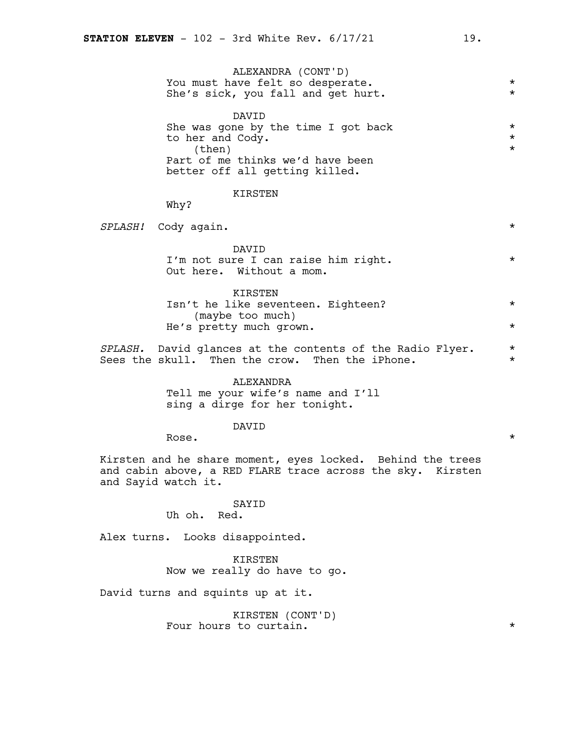| ALEXANDRA (CONT'D)<br>You must have felt so desperate.<br>She's sick, you fall and get hurt.                                                     | $^\star$<br>$\star$             |
|--------------------------------------------------------------------------------------------------------------------------------------------------|---------------------------------|
| DAVID<br>She was gone by the time I got back<br>to her and Cody.<br>(then)<br>Part of me thinks we'd have been<br>better off all getting killed. | $^\star$<br>$^\star$<br>$\star$ |
| <b>KIRSTEN</b><br>Why?                                                                                                                           |                                 |
| SPLASH! Cody again.                                                                                                                              | $\star$                         |
| <b>DAVTD</b><br>I'm not sure I can raise him right.<br>Out here. Without a mom.                                                                  | $\star$                         |
| KIRSTEN<br>Isn't he like seventeen. Eighteen?<br>(maybe too much)<br>He's pretty much grown.                                                     | $^\star$<br>$\star$             |
| SPLASH. David glances at the contents of the Radio Flyer.<br>Sees the skull. Then the crow. Then the iPhone.                                     | $^\star$<br>$^\star$            |
| ALEXANDRA<br>Tell me your wife's name and I'll<br>sing a dirge for her tonight.                                                                  |                                 |
| DAVID<br>Rose.                                                                                                                                   | $^\star$                        |

Kirsten and he share moment, eyes locked. Behind the trees and cabin above, a RED FLARE trace across the sky. Kirsten and Sayid watch it.

#### SAYID

Uh oh. Red.

Alex turns. Looks disappointed.

KIRSTEN Now we really do have to go.

David turns and squints up at it.

KIRSTEN (CONT'D) Four hours to curtain.  $\star$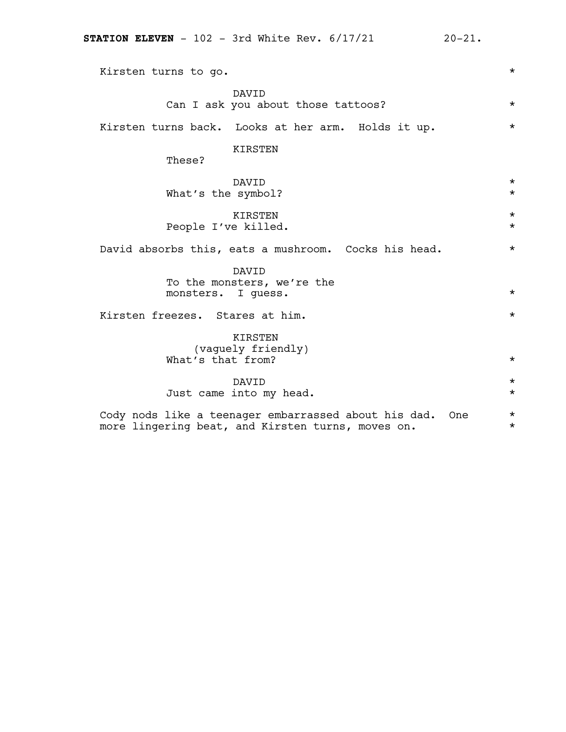| <b>STATION ELEVEN</b> - 102 - 3rd White Rev. $6/17/21$<br>$20 - 21.$                                             |                      |
|------------------------------------------------------------------------------------------------------------------|----------------------|
| Kirsten turns to go.                                                                                             | $^\star$             |
| DAVID<br>Can I ask you about those tattoos?                                                                      | $^\star$             |
| Kirsten turns back. Looks at her arm. Holds it up.                                                               | $\star$              |
| KIRSTEN<br>These?                                                                                                |                      |
| DAVID<br>What's the symbol?                                                                                      | $^\star$<br>$\star$  |
| KIRSTEN<br>People I've killed.                                                                                   | $^\star$<br>$^\star$ |
| David absorbs this, eats a mushroom. Cocks his head.                                                             | $^\star$             |
| DAVID<br>To the monsters, we're the<br>monsters. I guess.                                                        | $^\star$             |
| Kirsten freezes. Stares at him.                                                                                  | $^\star$             |
| KIRSTEN<br>(vaguely friendly)<br>What's that from?                                                               | $^\star$             |
| DAVID<br>Just came into my head.                                                                                 | $^\star$<br>$^\star$ |
| Cody nods like a teenager embarrassed about his dad.<br>One<br>more lingering beat, and Kirsten turns, moves on. | $\star$<br>$^\star$  |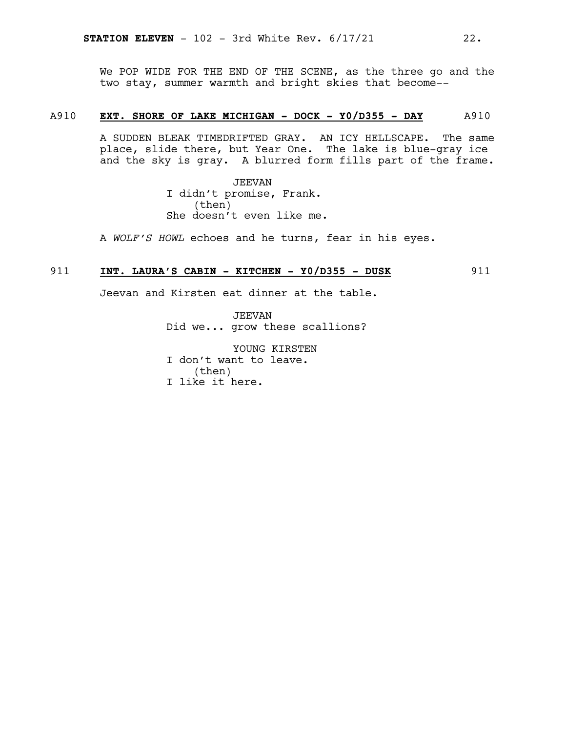We POP WIDE FOR THE END OF THE SCENE, as the three go and the two stay, summer warmth and bright skies that become--

#### A910 **EXT. SHORE OF LAKE MICHIGAN - DOCK - Y0/D355 - DAY** A910

A SUDDEN BLEAK TIMEDRIFTED GRAY. AN ICY HELLSCAPE. The same place, slide there, but Year One. The lake is blue-gray ice and the sky is gray. A blurred form fills part of the frame.

> JEEVAN I didn't promise, Frank. (then) She doesn't even like me.

A *WOLF'S HOWL* echoes and he turns, fear in his eyes.

#### 911 **INT. LAURA'S CABIN - KITCHEN - Y0/D355 - DUSK** 911

Jeevan and Kirsten eat dinner at the table.

JEEVAN Did we... grow these scallions?

YOUNG KIRSTEN I don't want to leave. (then) I like it here.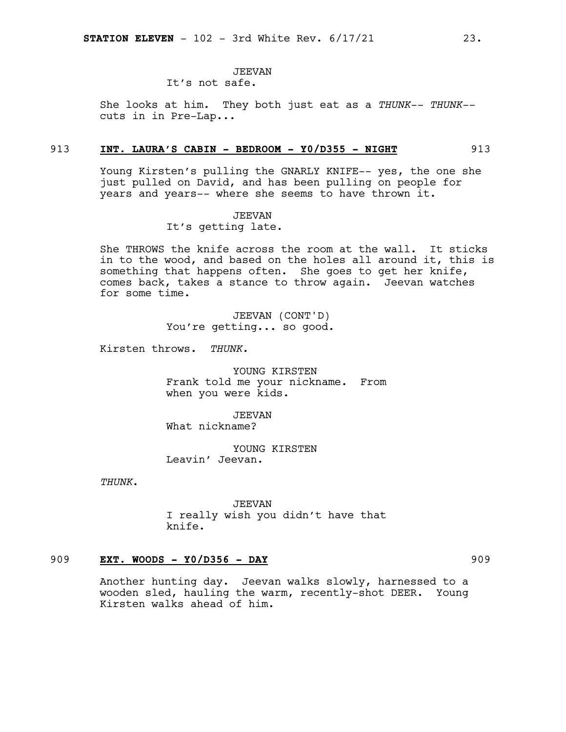### JEEVAN

It's not safe.

She looks at him. They both just eat as a *THUNK-- THUNK-* cuts in in Pre-Lap...

#### 913 **INT. LAURA'S CABIN - BEDROOM - Y0/D355 - NIGHT** 913

Young Kirsten's pulling the GNARLY KNIFE-- yes, the one she just pulled on David, and has been pulling on people for years and years-- where she seems to have thrown it.

# JEEVAN

It's getting late.

She THROWS the knife across the room at the wall. It sticks in to the wood, and based on the holes all around it, this is something that happens often. She goes to get her knife, comes back, takes a stance to throw again. Jeevan watches for some time.

> JEEVAN (CONT'D) You're getting... so good.

Kirsten throws. *THUNK.*

YOUNG KIRSTEN Frank told me your nickname. From when you were kids.

JEEVAN What nickname?

YOUNG KIRSTEN Leavin' Jeevan.

*THUNK*.

JEEVAN I really wish you didn't have that knife.

#### 909 **EXT. WOODS - Y0/D356 - DAY** 909

Another hunting day. Jeevan walks slowly, harnessed to a wooden sled, hauling the warm, recently-shot DEER. Young Kirsten walks ahead of him.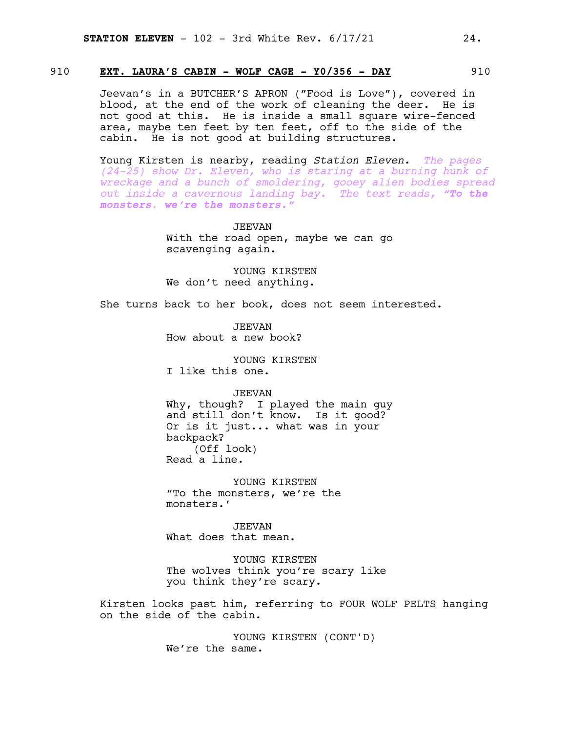#### 910 **EXT. LAURA'S CABIN - WOLF CAGE - Y0/356 - DAY** 910

Jeevan's in a BUTCHER'S APRON ("Food is Love"), covered in blood, at the end of the work of cleaning the deer. He is not good at this. He is inside a small square wire-fenced area, maybe ten feet by ten feet, off to the side of the cabin. He is not good at building structures.

Young Kirsten is nearby, reading *Station Eleven. The pages (24-25) show Dr. Eleven, who is staring at a burning hunk of wreckage and a bunch of smoldering, gooey alien bodies spread out inside a cavernous landing bay. The text reads, "To the monsters, we're the monsters."*

> JEEVAN With the road open, maybe we can go scavenging again.

YOUNG KIRSTEN We don't need anything.

She turns back to her book, does not seem interested.

JEEVAN How about a new book?

YOUNG KIRSTEN I like this one.

JEEVAN

Why, though? I played the main guy and still don't know. Is it good? Or is it just... what was in your backpack? (Off look) Read a line.

YOUNG KIRSTEN "To the monsters, we're the monsters.'

JEEVAN What does that mean.

YOUNG KIRSTEN The wolves think you're scary like you think they're scary.

Kirsten looks past him, referring to FOUR WOLF PELTS hanging on the side of the cabin.

> YOUNG KIRSTEN (CONT'D) We're the same.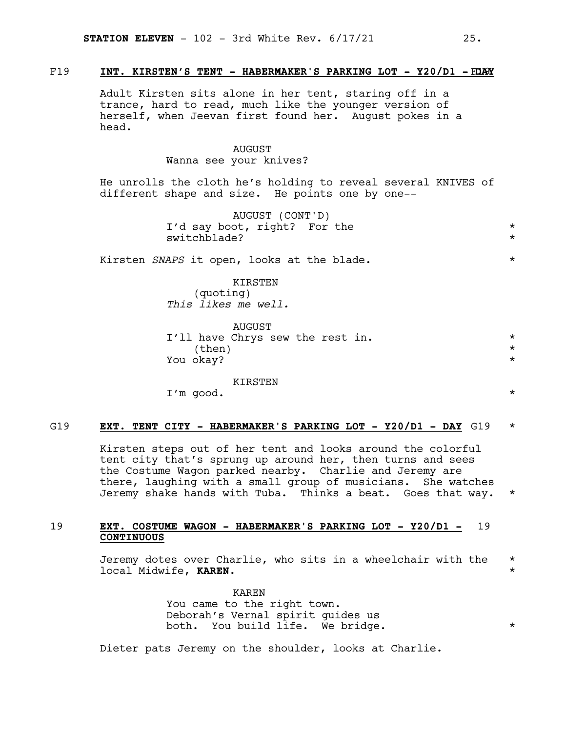#### F19 **INT. KIRSTEN'S TENT - HABERMAKER'S PARKING LOT - Y20/D1 -** F19 **DAY**

Adult Kirsten sits alone in her tent, staring off in a trance, hard to read, much like the younger version of herself, when Jeevan first found her. August pokes in a head.

#### AUGUST

Wanna see your knives?

He unrolls the cloth he's holding to reveal several KNIVES of different shape and size. He points one by one--

> AUGUST (CONT'D) I'd say boot, right? For the \* switchblade? \*

Kirsten *SNAPS* it open, looks at the blade.  $*$ 

KIRSTEN (quoting) *This likes me well.*

AUGUST I'll have Chrys sew the rest in.  $*$  $\times$  (then)  $*$ You okay?  $\star$ 

KIRSTEN

I'm good. \*

#### G19 **EXT. TENT CITY - HABERMAKER'S PARKING LOT - Y20/D1 - DAY** G19 \*

Kirsten steps out of her tent and looks around the colorful tent city that's sprung up around her, then turns and sees the Costume Wagon parked nearby. Charlie and Jeremy are there, laughing with a small group of musicians. She watches Jeremy shake hands with Tuba. Thinks a beat. Goes that way. \*

#### 19 **EXT. COSTUME WAGON - HABERMAKER'S PARKING LOT - Y20/D1 -** 19 **CONTINUOUS**

Jeremy dotes over Charlie, who sits in a wheelchair with the \* local Midwife, **KAREN**. \*

> KAREN You came to the right town. Deborah's Vernal spirit guides us both. You build life. We bridge.  $*$

Dieter pats Jeremy on the shoulder, looks at Charlie.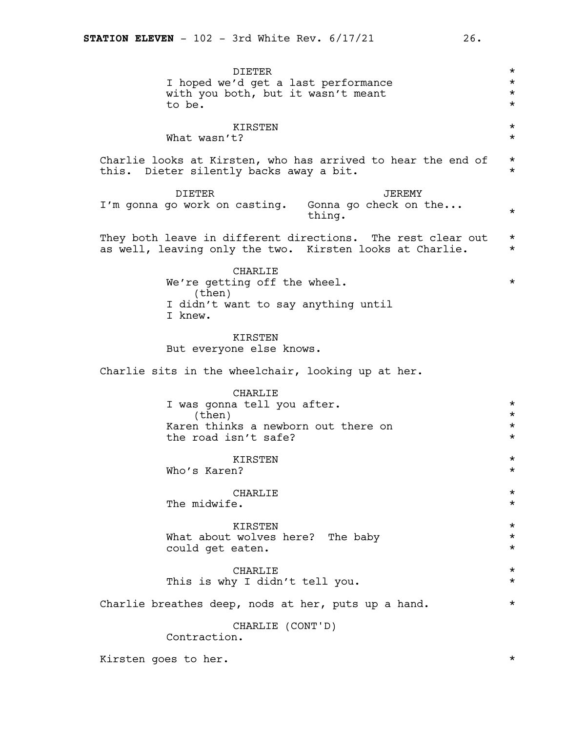DIETER \* I hoped we'd get a last performance with you both, but it wasn't meant \* to be.  $\star$ KIRSTEN \* What wasn't? Charlie looks at Kirsten, who has arrived to hear the end of  $*$ this. Dieter silently backs away a bit.  $\star$ DIETER I'm gonna go work on casting. Gonna go check on the... JEREMY  $\frac{1}{2}$  thing. They both leave in different directions. The rest clear out  $*$ as well, leaving only the two. Kirsten looks at Charlie. \* CHARLIE We're getting off the wheel.  $\star$ (then) I didn't want to say anything until I knew. **KIRSTEN** But everyone else knows. Charlie sits in the wheelchair, looking up at her. CHARLIE I was gonna tell you after.  $\star$  $\times$  (then)  $*$ Karen thinks a newborn out there on  $*$ the road isn't safe?  $\star$ KIRSTEN \* Who's Karen?  $\star$  $\begin{tabular}{ccccc}\n\multicolumn{1}{c}\n\multicolumn{1}{c}\n\multicolumn{1}{c}\n\multicolumn{1}{c}\n\multicolumn{1}{c}\n\multicolumn{1}{c}\n\multicolumn{1}{c}\n\multicolumn{1}{c}\n\multicolumn{1}{c}\n\multicolumn{1}{c}\n\multicolumn{1}{c}\n\multicolumn{1}{c}\n\multicolumn{1}{c}\n\multicolumn{1}{c}\n\multicolumn{1}{c}\n\multicolumn{1}{c}\n\multicolumn{1}{c}\n\multicolumn{1}{c}\n\multicolumn{1}{c}\n\multicolumn{1}{c}\n\multicolumn{1}{c}\n$ The midwife.  $\star$ KIRSTEN \* What about wolves here? The baby  $\star$ <br>could get eaten could get eaten.  $\begin{tabular}{ccccc}\n\multicolumn{1}{c}\n\multicolumn{1}{c}\n\multicolumn{1}{c}\n\multicolumn{1}{c}\n\multicolumn{1}{c}\n\multicolumn{1}{c}\n\multicolumn{1}{c}\n\multicolumn{1}{c}\n\multicolumn{1}{c}\n\multicolumn{1}{c}\n\multicolumn{1}{c}\n\multicolumn{1}{c}\n\multicolumn{1}{c}\n\multicolumn{1}{c}\n\multicolumn{1}{c}\n\multicolumn{1}{c}\n\multicolumn{1}{c}\n\multicolumn{1}{c}\n\multicolumn{1}{c}\n\multicolumn{1}{c}\n\multicolumn{1}{c}\n$ This is why I didn't tell you.  $*$ Charlie breathes deep, nods at her, puts up a hand.  $*$ CHARLIE (CONT'D) Contraction.

Kirsten goes to her.  $\star$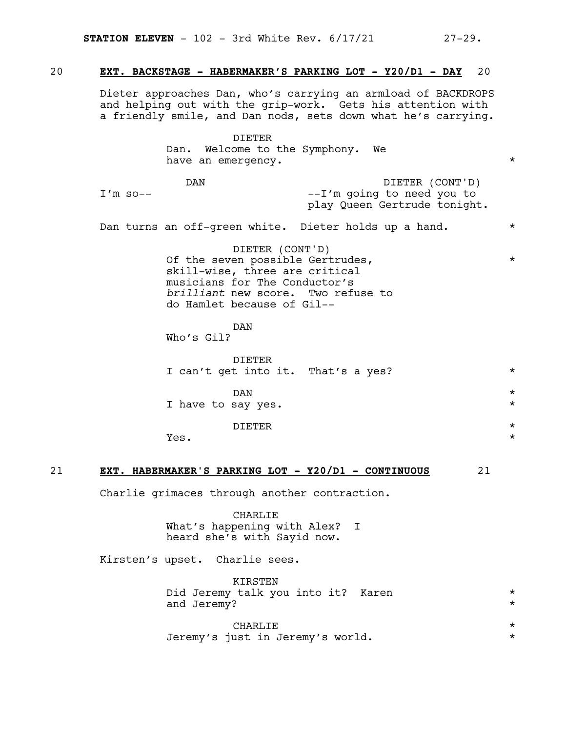#### 20 **EXT. BACKSTAGE - HABERMAKER'S PARKING LOT - Y20/D1 - DAY** 20

Dieter approaches Dan, who's carrying an armload of BACKDROPS and helping out with the grip-work. Gets his attention with a friendly smile, and Dan nods, sets down what he's carrying.

#### DIETER Dan. Welcome to the Symphony. We have an emergency.  $\star$

DAN  $I'm$  so--DIETER (CONT'D) --I'm going to need you to play Queen Gertrude tonight.

Dan turns an off-green white. Dieter holds up a hand. \*

DIETER (CONT'D) Of the seven possible Gertrudes,  $\star$ skill-wise, three are critical musicians for The Conductor's *brilliant* new score. Two refuse to do Hamlet because of Gil--

#### DAN

Who's Gil?

| DIETER<br>I can't get into it. That's a yes? | $\star$            |
|----------------------------------------------|--------------------|
| DAN<br>I have to say yes.                    | $\star$<br>$\star$ |
| DI ETER                                      | $\star$            |

 $Yes.$ 

#### 21 **EXT. HABERMAKER'S PARKING LOT - Y20/D1 - CONTINUOUS** 21

Charlie grimaces through another contraction.

CHARLIE What's happening with Alex? I heard she's with Sayid now.

Kirsten's upset. Charlie sees.

KIRSTEN Did Jeremy talk you into it? Karen \* and Jeremy?  $\star$ 

| <b>CHARLIE</b>                   |  |
|----------------------------------|--|
| Jeremy's just in Jeremy's world. |  |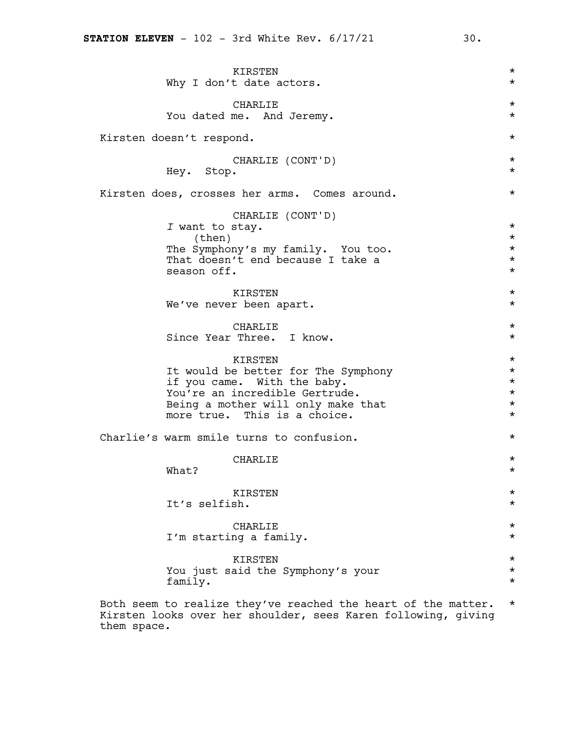| KIRSTEN<br>Why I don't date actors.                           | $^\star$<br>$^\star$ |
|---------------------------------------------------------------|----------------------|
| CHARLIE<br>You dated me. And Jeremy.                          | $^\star$<br>$^\star$ |
| Kirsten doesn't respond.                                      | $^\star$             |
|                                                               |                      |
| CHARLIE (CONT'D)<br>Hey. Stop.                                | $^\star$<br>$^\star$ |
| Kirsten does, crosses her arms. Comes around.                 | $^\star$             |
| CHARLIE (CONT'D)                                              |                      |
| I want to stay.                                               | $^\star$<br>$^\star$ |
| (then)<br>The Symphony's my family. You too.                  | $^\star$             |
| That doesn't end because I take a                             | $^\star$             |
| season off.                                                   | $^\star$             |
| KIRSTEN                                                       | $^\star$             |
| We've never been apart.                                       | $^\star$             |
|                                                               |                      |
| CHARLIE<br>Since Year Three. I know.                          | $^\star$<br>$^\star$ |
|                                                               |                      |
| KIRSTEN                                                       | $^\star$             |
| It would be better for The Symphony                           | $^\star$<br>$^\star$ |
| if you came. With the baby.<br>You're an incredible Gertrude. | $^\star$             |
| Being a mother will only make that                            | $^\star$             |
| more true. This is a choice.                                  | $^\star$             |
| Charlie's warm smile turns to confusion.                      | $^\star$             |
| CHARLIE                                                       | $^\star$             |
| What?                                                         | $^\star$             |
| KIRSTEN                                                       | $^\star$             |
| It's selfish.                                                 | $^\star$             |
|                                                               |                      |
| <b>CHARLIE</b><br>I'm starting a family.                      | $^\star$<br>$^\star$ |
|                                                               |                      |
| <b>KIRSTEN</b>                                                | $^\star$             |
| You just said the Symphony's your<br>family.                  | $^\star$<br>$^\star$ |
|                                                               |                      |

Both seem to realize they've reached the heart of the matter. \* Kirsten looks over her shoulder, sees Karen following, giving them space.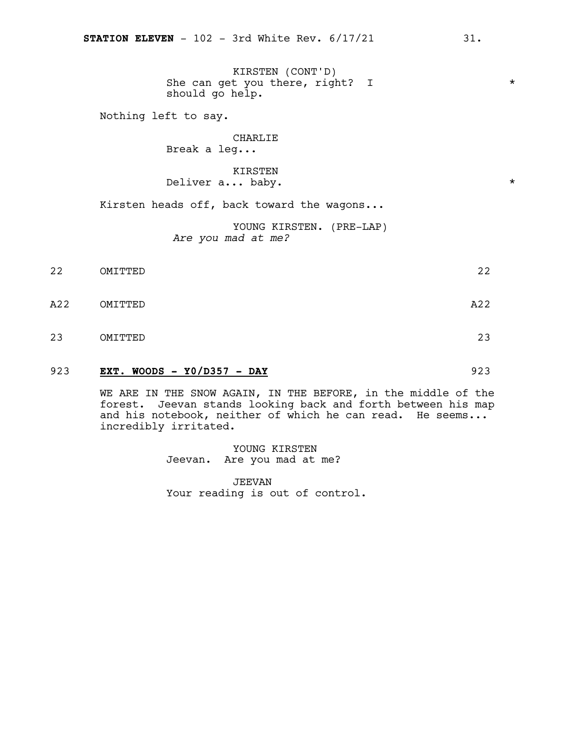KIRSTEN (CONT'D) She can get you there, right? I  $*$ should go help.

Nothing left to say.

### CHARLIE

Break a leg...

#### KIRSTEN Deliver a... baby.  $*$

Kirsten heads off, back toward the wagons...

YOUNG KIRSTEN. (PRE-LAP) *Are you mad at me?*

- 22 OMITTED 22
- A22 OMITTED A22
- 23 OMITTED 23

#### 923 **EXT. WOODS - Y0/D357 - DAY** 923

WE ARE IN THE SNOW AGAIN, IN THE BEFORE, in the middle of the forest. Jeevan stands looking back and forth between his map and his notebook, neither of which he can read. He seems... incredibly irritated.

> YOUNG KIRSTEN Jeevan. Are you mad at me?

JEEVAN Your reading is out of control.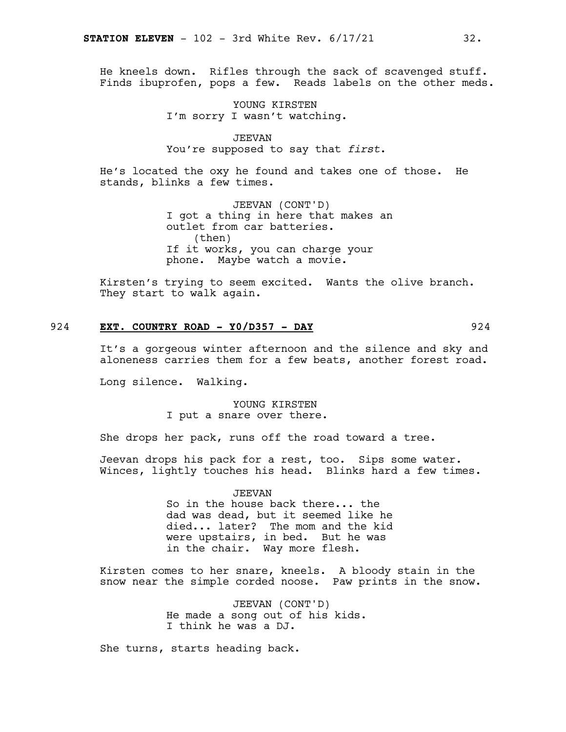He kneels down. Rifles through the sack of scavenged stuff. Finds ibuprofen, pops a few. Reads labels on the other meds.

> YOUNG KIRSTEN I'm sorry I wasn't watching.

JEEVAN You're supposed to say that *first*.

He's located the oxy he found and takes one of those. He stands, blinks a few times.

> JEEVAN (CONT'D) I got a thing in here that makes an outlet from car batteries. (then) If it works, you can charge your phone. Maybe watch a movie.

Kirsten's trying to seem excited. Wants the olive branch. They start to walk again.

#### 924 **EXT. COUNTRY ROAD - Y0/D357 - DAY** 924

It's a gorgeous winter afternoon and the silence and sky and aloneness carries them for a few beats, another forest road.

Long silence. Walking.

YOUNG KIRSTEN I put a snare over there.

She drops her pack, runs off the road toward a tree.

Jeevan drops his pack for a rest, too. Sips some water. Winces, lightly touches his head. Blinks hard a few times.

> JEEVAN So in the house back there... the dad was dead, but it seemed like he died... later? The mom and the kid were upstairs, in bed. But he was in the chair. Way more flesh.

Kirsten comes to her snare, kneels. A bloody stain in the snow near the simple corded noose. Paw prints in the snow.

> JEEVAN (CONT'D) He made a song out of his kids. I think he was a DJ.

She turns, starts heading back.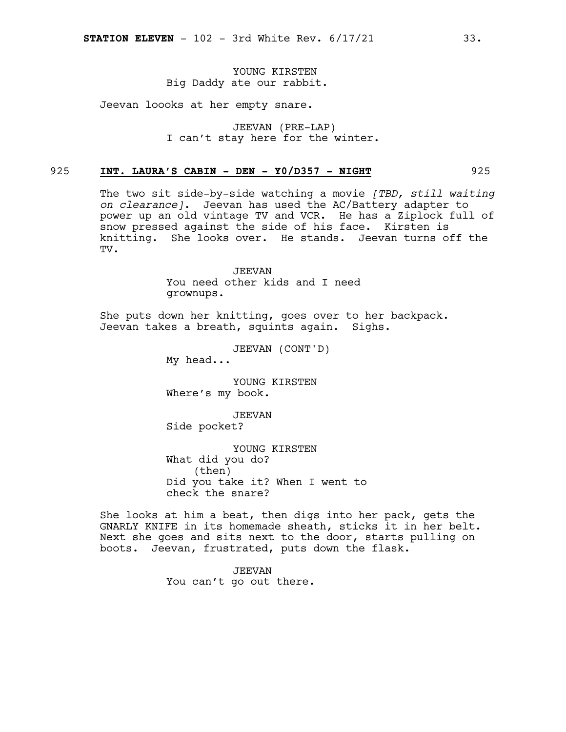#### YOUNG KIRSTEN Big Daddy ate our rabbit.

Jeevan loooks at her empty snare.

JEEVAN (PRE-LAP) I can't stay here for the winter.

#### 925 **INT. LAURA'S CABIN - DEN - Y0/D357 - NIGHT** 925

The two sit side-by-side watching a movie *[TBD, still waiting on clearance]*. Jeevan has used the AC/Battery adapter to power up an old vintage TV and VCR. He has a Ziplock full of snow pressed against the side of his face. Kirsten is knitting. She looks over. He stands. Jeevan turns off the TV.

JEEVAN

You need other kids and I need grownups.

She puts down her knitting, goes over to her backpack. Jeevan takes a breath, squints again. Sighs.

JEEVAN (CONT'D)

My head...

YOUNG KIRSTEN Where's my book*.*

JEEVAN Side pocket?

YOUNG KIRSTEN What did you do? (then) Did you take it? When I went to check the snare?

She looks at him a beat, then digs into her pack, gets the GNARLY KNIFE in its homemade sheath, sticks it in her belt. Next she goes and sits next to the door, starts pulling on boots. Jeevan, frustrated, puts down the flask.

> JEEVAN You can't go out there.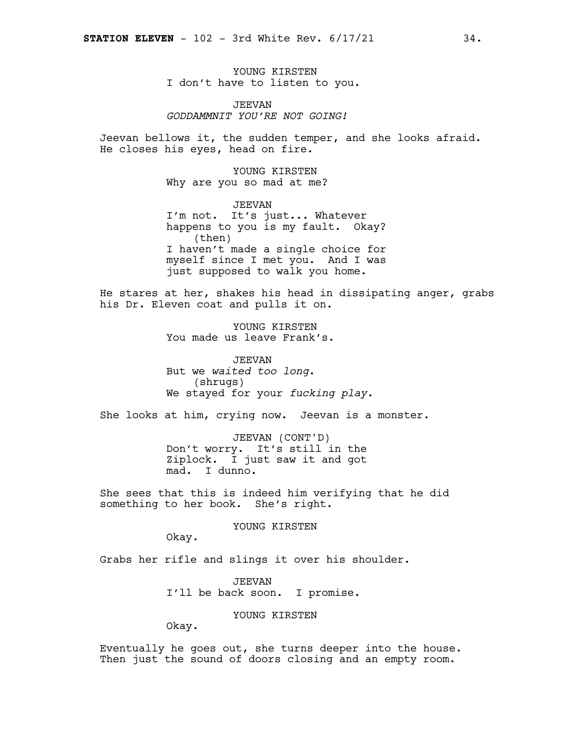YOUNG KIRSTEN I don't have to listen to you.

JEEVAN *GODDAMMNIT YOU'RE NOT GOING!*

Jeevan bellows it, the sudden temper, and she looks afraid. He closes his eyes, head on fire.

> YOUNG KIRSTEN Why are you so mad at me?

JEEVAN I'm not. It's just... Whatever happens to you is my fault. Okay? (then) I haven't made a single choice for myself since I met you. And I was just supposed to walk you home.

He stares at her, shakes his head in dissipating anger, grabs his Dr. Eleven coat and pulls it on.

> YOUNG KIRSTEN You made us leave Frank's.

JEEVAN But we *waited too long*. (shrugs) We stayed for your *fucking play.*

She looks at him, crying now. Jeevan is a monster.

JEEVAN (CONT'D) Don't worry. It's still in the Ziplock. I just saw it and got mad. I dunno.

She sees that this is indeed him verifying that he did something to her book. She's right.

#### YOUNG KIRSTEN

Okay.

Grabs her rifle and slings it over his shoulder.

JEEVAN I'll be back soon. I promise.

YOUNG KIRSTEN

Okay.

Eventually he goes out, she turns deeper into the house. Then just the sound of doors closing and an empty room.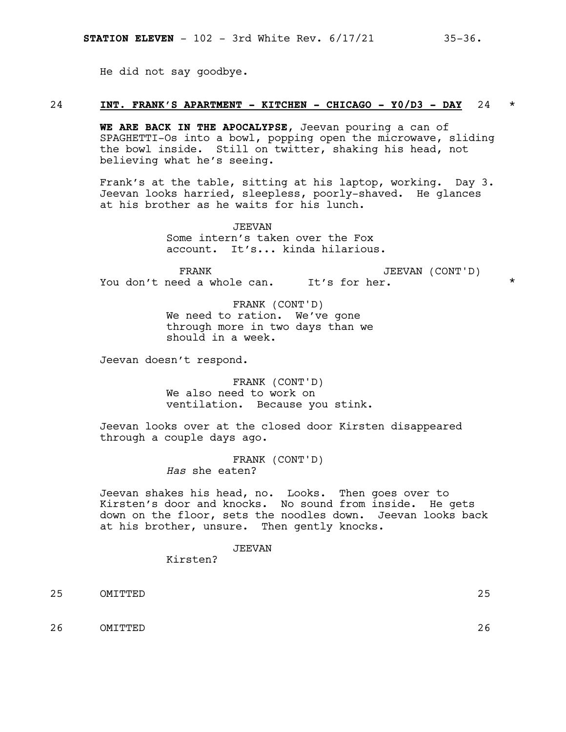He did not say goodbye.

#### 24 **INT. FRANK'S APARTMENT - KITCHEN - CHICAGO - Y0/D3 - DAY** 24 \*

**WE ARE BACK IN THE APOCALYPSE**, Jeevan pouring a can of SPAGHETTI-Os into a bowl, popping open the microwave, sliding the bowl inside. Still on twitter, shaking his head, not believing what he's seeing.

Frank's at the table, sitting at his laptop, working. Day 3. Jeevan looks harried, sleepless, poorly-shaved. He glances at his brother as he waits for his lunch.

> JEEVAN Some intern's taken over the Fox account. It's... kinda hilarious.

FRANK You don't need a whole can. It's for her.  $\qquad \qquad \star$ JEEVAN (CONT'D)

> FRANK (CONT'D) We need to ration. We've gone through more in two days than we should in a week.

Jeevan doesn't respond.

FRANK (CONT'D) We also need to work on ventilation. Because you stink.

Jeevan looks over at the closed door Kirsten disappeared through a couple days ago.

> FRANK (CONT'D) *Has* she eaten?

Jeevan shakes his head, no. Looks. Then goes over to Kirsten's door and knocks. No sound from inside. He gets down on the floor, sets the noodles down. Jeevan looks back at his brother, unsure. Then gently knocks.

#### JEEVAN

Kirsten?

25 OMITTED 25

26 OMITTED 26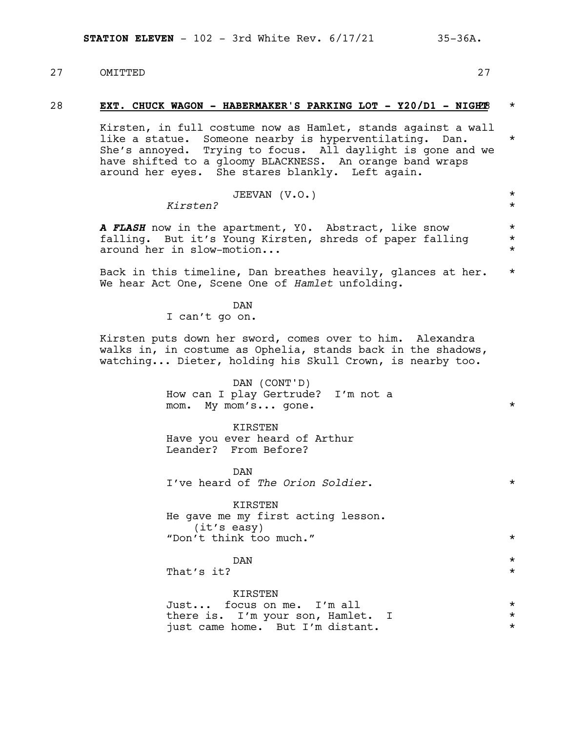27 OMITTED 27

#### 28 **EXT. CHUCK WAGON - HABERMAKER'S PARKING LOT - Y20/D1 - NIGH**28**T** \*

Kirsten, in full costume now as Hamlet, stands against a wall like a statue. Someone nearby is hyperventilating. Dan. \* She's annoyed. Trying to focus. All daylight is gone and we have shifted to a gloomy BLACKNESS. An orange band wraps around her eyes. She stares blankly. Left again.

| Kirsten? | JEEVAN (V.O.) |  |  |
|----------|---------------|--|--|
|          |               |  |  |

*A FLASH* now in the apartment, Y0. Abstract, like snow \* falling. But it's Young Kirsten, shreds of paper falling around her in slow-motion...

Back in this timeline, Dan breathes heavily, glances at her. \* We hear Act One, Scene One of *Hamlet* unfolding.

> DAN I can't go on.

Kirsten puts down her sword, comes over to him. Alexandra walks in, in costume as Ophelia, stands back in the shadows, watching... Dieter, holding his Skull Crown, is nearby too.

> DAN (CONT'D) How can I play Gertrude? I'm not a mom. My mom's... gone. \*

KIRSTEN Have you ever heard of Arthur Leander? From Before?

DAN I've heard of *The Orion Soldier*. \*

KIRSTEN He gave me my first acting lesson.<br>(it's easy)<br>"Don't think too much."

 $DAN$   $\star$ That's it?  $\star$ 

KIRSTEN

|  | Just focus on me. I'm all         |  |  |
|--|-----------------------------------|--|--|
|  | there is. I'm your son, Hamlet. I |  |  |
|  | just came home. But I'm distant.  |  |  |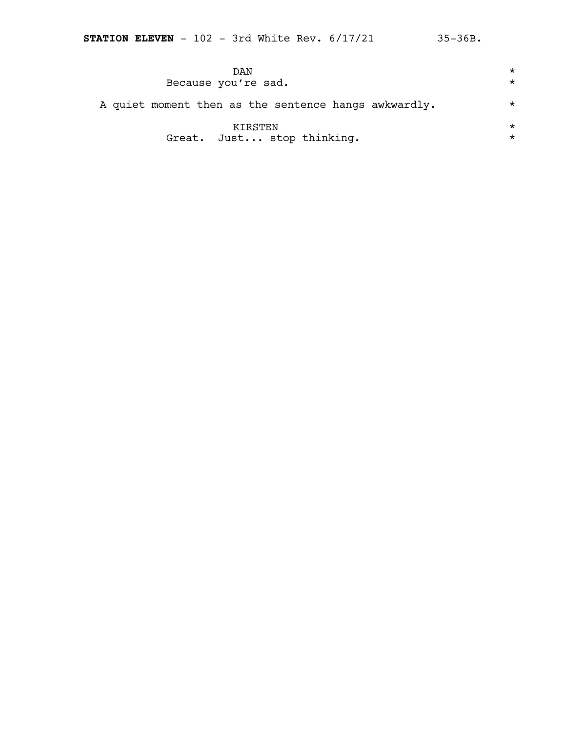| DAN<br>Because you're sad.                           | $\star$<br>$\star$ |
|------------------------------------------------------|--------------------|
| A quiet moment then as the sentence hangs awkwardly. | $\star$            |
| KTRSTEN<br>Great. Just stop thinking.                | $\star$<br>$\star$ |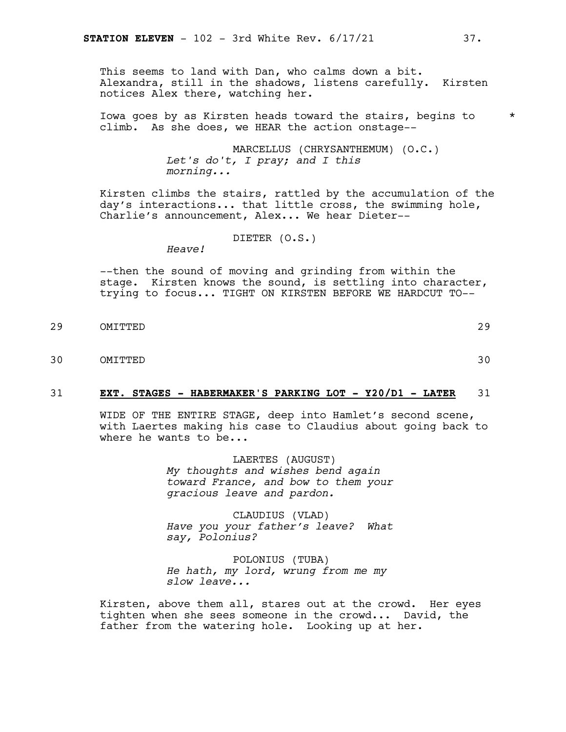This seems to land with Dan, who calms down a bit. Alexandra, still in the shadows, listens carefully. Kirsten notices Alex there, watching her.

Iowa goes by as Kirsten heads toward the stairs, begins to \* climb. As she does, we HEAR the action onstage--

> MARCELLUS (CHRYSANTHEMUM) (O.C.) *Let's do't, I pray; and I this morning...*

Kirsten climbs the stairs, rattled by the accumulation of the day's interactions... that little cross, the swimming hole, Charlie's announcement, Alex... We hear Dieter--

DIETER (O.S.)

*Heave!*

--then the sound of moving and grinding from within the stage. Kirsten knows the sound, is settling into character, trying to focus... TIGHT ON KIRSTEN BEFORE WE HARDCUT TO--

- 29 OMITTED 29
- 30 OMITTED 30

#### 31 **EXT. STAGES - HABERMAKER'S PARKING LOT - Y20/D1 - LATER** 31

WIDE OF THE ENTIRE STAGE, deep into Hamlet's second scene, with Laertes making his case to Claudius about going back to where he wants to be...

> LAERTES (AUGUST) *My thoughts and wishes bend again toward France, and bow to them your gracious leave and pardon.*

> CLAUDIUS (VLAD) *Have you your father's leave? What say, Polonius?*

POLONIUS (TUBA) *He hath, my lord, wrung from me my slow leave...*

Kirsten, above them all, stares out at the crowd. Her eyes tighten when she sees someone in the crowd... David, the father from the watering hole. Looking up at her.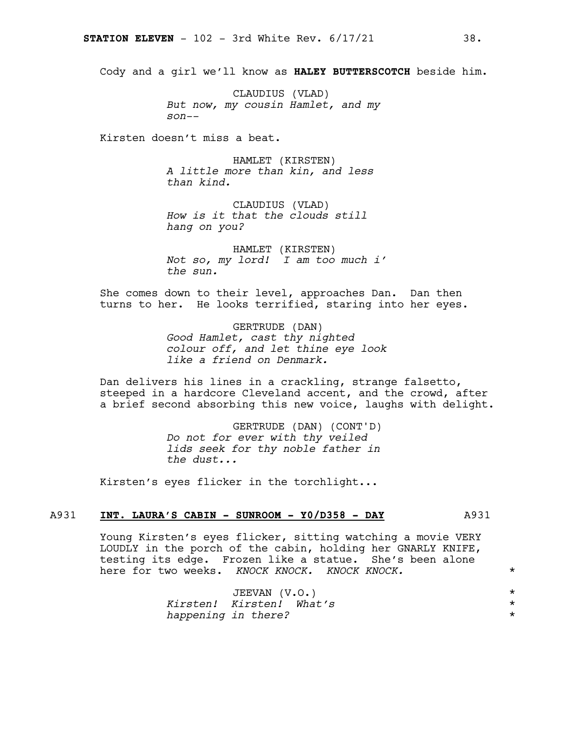Cody and a girl we'll know as **HALEY BUTTERSCOTCH** beside him.

CLAUDIUS (VLAD) *But now, my cousin Hamlet, and my son--*

Kirsten doesn't miss a beat.

HAMLET (KIRSTEN) *A little more than kin, and less than kind.*

CLAUDIUS (VLAD) *How is it that the clouds still hang on you?*

HAMLET (KIRSTEN) *Not so, my lord! I am too much i' the sun.*

She comes down to their level, approaches Dan. Dan then turns to her. He looks terrified, staring into her eyes.

> GERTRUDE (DAN) *Good Hamlet, cast thy nighted colour off, and let thine eye look like a friend on Denmark.*

Dan delivers his lines in a crackling, strange falsetto, steeped in a hardcore Cleveland accent, and the crowd, after a brief second absorbing this new voice, laughs with delight.

> GERTRUDE (DAN) (CONT'D) *Do not for ever with thy veiled lids seek for thy noble father in the dust...*

Kirsten's eyes flicker in the torchlight...

#### A931 **INT. LAURA'S CABIN - SUNROOM - Y0/D358 - DAY** A931

Young Kirsten's eyes flicker, sitting watching a movie VERY LOUDLY in the porch of the cabin, holding her GNARLY KNIFE, testing its edge. Frozen like a statue. She's been alone here for two weeks. *KNOCK KNOCK. KNOCK KNOCK.* \*

| JEEVAN (V.O.)            |  |
|--------------------------|--|
| Kirsten! Kirsten! What's |  |
| happening in there?      |  |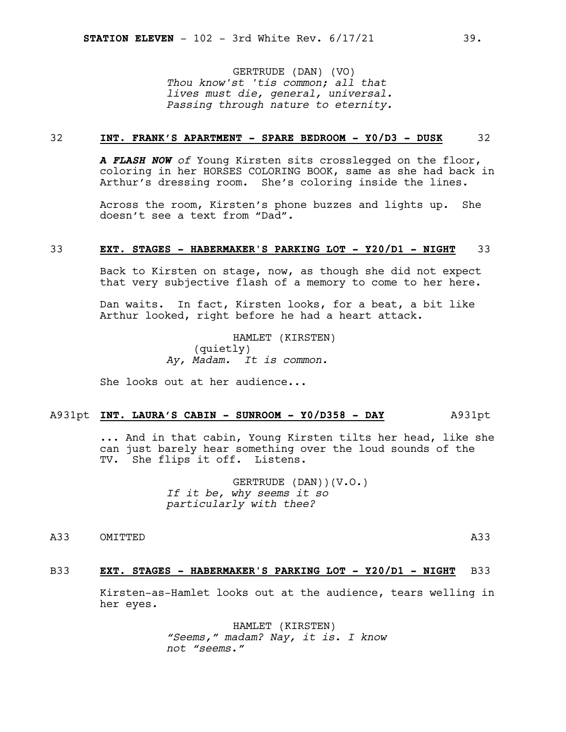GERTRUDE (DAN) (VO) *Thou know'st 'tis common; all that lives must die, general, universal. Passing through nature to eternity.*

#### 32 **INT. FRANK'S APARTMENT - SPARE BEDROOM - Y0/D3 - DUSK** 32

*A FLASH NOW of* Young Kirsten sits crosslegged on the floor, coloring in her HORSES COLORING BOOK, same as she had back in Arthur's dressing room. She's coloring inside the lines.

Across the room, Kirsten's phone buzzes and lights up. She doesn't see a text from "Dad".

#### 33 **EXT. STAGES - HABERMAKER'S PARKING LOT - Y20/D1 - NIGHT** 33

Back to Kirsten on stage, now, as though she did not expect that very subjective flash of a memory to come to her here.

Dan waits. In fact, Kirsten looks, for a beat, a bit like Arthur looked, right before he had a heart attack.

> HAMLET (KIRSTEN) (quietly) *Ay, Madam. It is common.*

She looks out at her audience...

#### A931pt **INT. LAURA'S CABIN - SUNROOM - Y0/D358 - DAY** A931pt

... And in that cabin, Young Kirsten tilts her head, like she can just barely hear something over the loud sounds of the TV. She flips it off. Listens.

> GERTRUDE (DAN))(V.O.) *If it be, why seems it so particularly with thee?*

A33 OMITTED A33

#### B33 **EXT. STAGES - HABERMAKER'S PARKING LOT - Y20/D1 - NIGHT** B33

Kirsten-as-Hamlet looks out at the audience, tears welling in her eyes.

> HAMLET (KIRSTEN) *"Seems," madam? Nay, it is. I know not "seems."*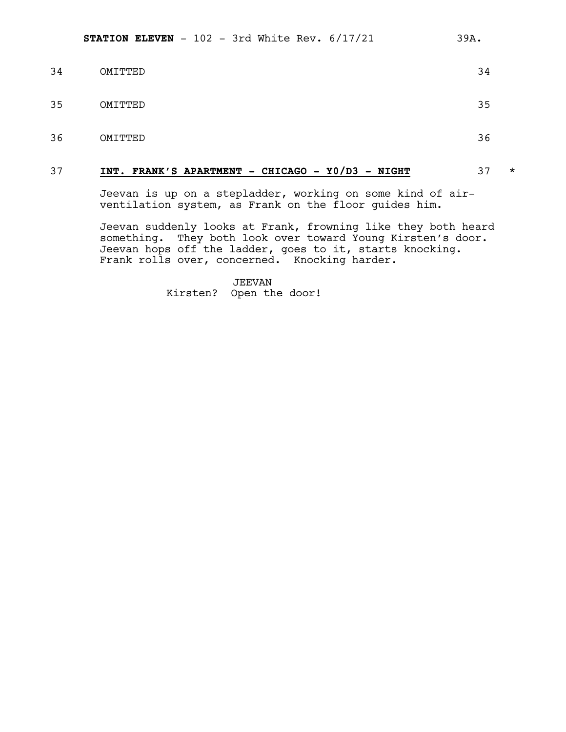| 34 | OMITTED | 34 |
|----|---------|----|
| 35 | OMITTED | 35 |
| 36 | OMITTED | 36 |

#### 37 **INT. FRANK'S APARTMENT - CHICAGO - Y0/D3 - NIGHT** 37 \*

Jeevan is up on a stepladder, working on some kind of airventilation system, as Frank on the floor guides him.

Jeevan suddenly looks at Frank, frowning like they both heard something. They both look over toward Young Kirsten's door. Jeevan hops off the ladder, goes to it, starts knocking. Frank rolls over, concerned. Knocking harder.

> JEEVAN Kirsten? Open the door!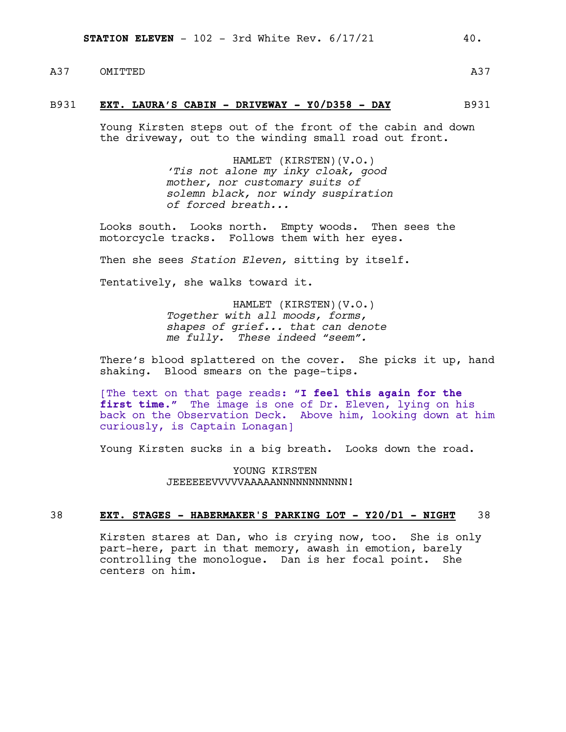A37 OMITTED

#### B931 **EXT. LAURA'S CABIN - DRIVEWAY - Y0/D358 - DAY** B931

Young Kirsten steps out of the front of the cabin and down the driveway, out to the winding small road out front.

> HAMLET (KIRSTEN)(V.O.) *'Tis not alone my inky cloak, good mother, nor customary suits of solemn black, nor windy suspiration of forced breath...*

Looks south. Looks north. Empty woods. Then sees the motorcycle tracks. Follows them with her eyes.

Then she sees *Station Eleven,* sitting by itself.

Tentatively, she walks toward it.

HAMLET (KIRSTEN)(V.O.) *Together with all moods, forms, shapes of grief... that can denote me fully. These indeed "seem".*

There's blood splattered on the cover. She picks it up, hand shaking. Blood smears on the page-tips.

[The text on that page reads: **"I feel this again for the first time."** The image is one of Dr. Eleven, lying on his back on the Observation Deck. Above him, looking down at him curiously, is Captain Lonagan]

Young Kirsten sucks in a big breath. Looks down the road.

YOUNG KIRSTEN JEEEEEEEVVVVVAAAAANNNNNNNNNNNN!

#### 38 **EXT. STAGES - HABERMAKER'S PARKING LOT - Y20/D1 - NIGHT** 38

Kirsten stares at Dan, who is crying now, too. She is only part-here, part in that memory, awash in emotion, barely controlling the monologue. Dan is her focal point. She centers on him.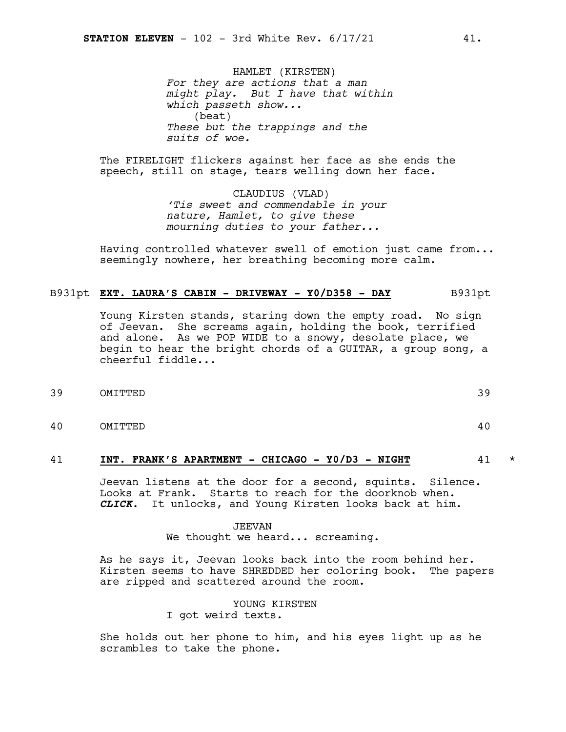HAMLET (KIRSTEN) *For they are actions that a man might play. But I have that within which passeth show...* (beat) *These but the trappings and the suits of woe.*

The FIRELIGHT flickers against her face as she ends the speech, still on stage, tears welling down her face.

> CLAUDIUS (VLAD) *'Tis sweet and commendable in your nature, Hamlet, to give these mourning duties to your father...*

Having controlled whatever swell of emotion just came from... seemingly nowhere, her breathing becoming more calm.

#### B931pt **EXT. LAURA'S CABIN - DRIVEWAY - Y0/D358 - DAY** B931pt

Young Kirsten stands, staring down the empty road. No sign of Jeevan. She screams again, holding the book, terrified and alone. As we POP WIDE to a snowy, desolate place, we begin to hear the bright chords of a GUITAR, a group song, a cheerful fiddle...

- 39 OMITTED 39
- 40 OMITTED 40

#### 41 **INT. FRANK'S APARTMENT - CHICAGO - Y0/D3 - NIGHT** 41 \*

Jeevan listens at the door for a second, squints. Silence. Looks at Frank. Starts to reach for the doorknob when. *CLICK*. It unlocks, and Young Kirsten looks back at him.

#### JEEVAN We thought we heard... screaming.

As he says it, Jeevan looks back into the room behind her. Kirsten seems to have SHREDDED her coloring book. The papers are ripped and scattered around the room.

> YOUNG KIRSTEN I got weird texts.

She holds out her phone to him, and his eyes light up as he scrambles to take the phone.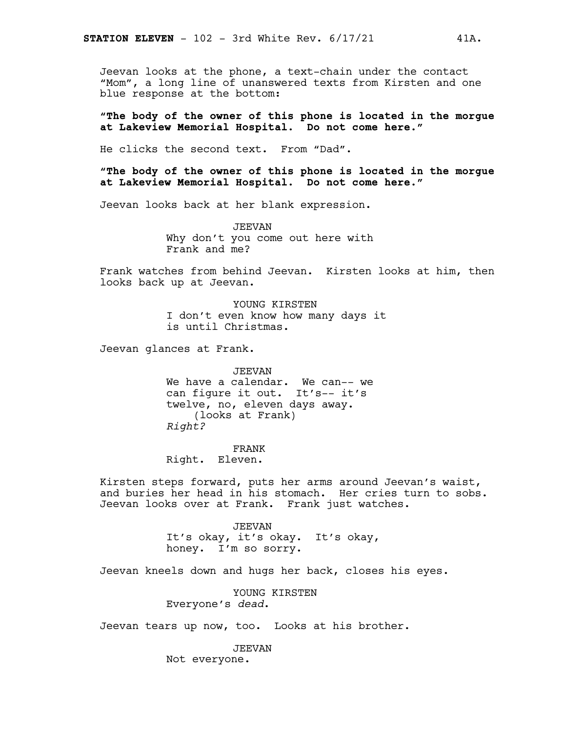Jeevan looks at the phone, a text-chain under the contact "Mom", a long line of unanswered texts from Kirsten and one blue response at the bottom:

**"The body of the owner of this phone is located in the morgue at Lakeview Memorial Hospital. Do not come here."**

He clicks the second text. From "Dad".

**"The body of the owner of this phone is located in the morgue at Lakeview Memorial Hospital. Do not come here."**

Jeevan looks back at her blank expression.

JEEVAN Why don't you come out here with Frank and me?

Frank watches from behind Jeevan. Kirsten looks at him, then looks back up at Jeevan.

> YOUNG KIRSTEN I don't even know how many days it is until Christmas.

Jeevan glances at Frank.

JEEVAN We have a calendar. We can-- we can figure it out. It's-- it's twelve, no, eleven days away. (looks at Frank) *Right?*

FRANK Right. Eleven.

Kirsten steps forward, puts her arms around Jeevan's waist, and buries her head in his stomach. Her cries turn to sobs. Jeevan looks over at Frank. Frank just watches.

> JEEVAN It's okay, it's okay. It's okay, honey. I'm so sorry.

Jeevan kneels down and hugs her back, closes his eyes.

YOUNG KIRSTEN Everyone's *dead*.

Jeevan tears up now, too. Looks at his brother.

JEEVAN Not everyone.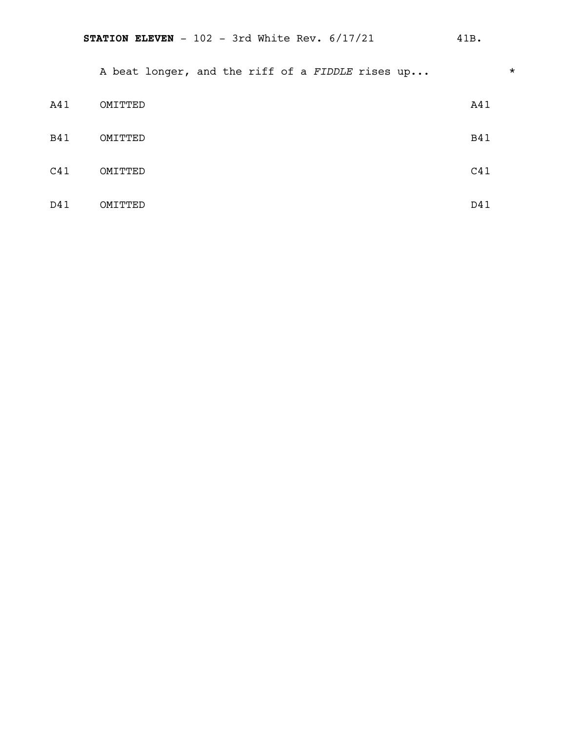A beat longer, and the riff of a *FIDDLE* rises up...  $*$ 

| A41        | OMITTED | A41        |
|------------|---------|------------|
| <b>B41</b> | OMITTED | <b>B41</b> |
| C41        | OMITTED | C41        |
| D41        | OMITTED | D41        |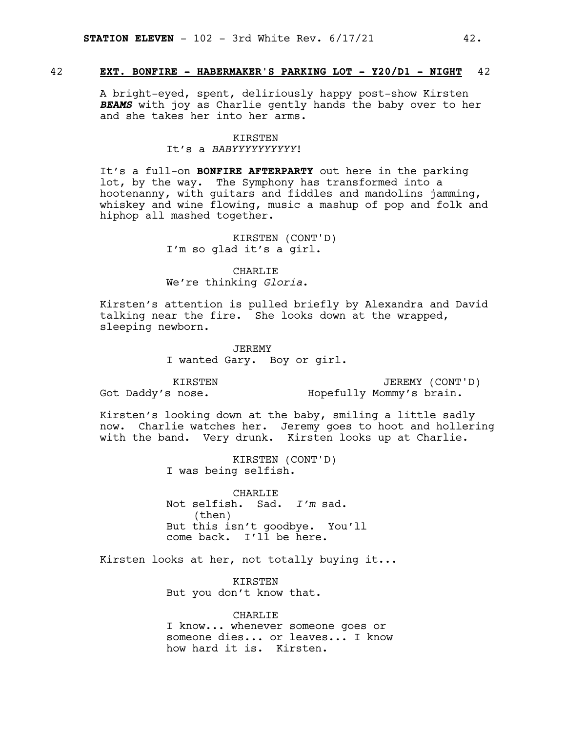#### 42 **EXT. BONFIRE - HABERMAKER'S PARKING LOT - Y20/D1 - NIGHT** 42

A bright-eyed, spent, deliriously happy post-show Kirsten *BEAMS* with joy as Charlie gently hands the baby over to her and she takes her into her arms.

#### KIRSTEN It's a *BABYYYYYYYYYY*!

It's a full-on **BONFIRE AFTERPARTY** out here in the parking lot, by the way. The Symphony has transformed into a hootenanny, with guitars and fiddles and mandolins jamming, whiskey and wine flowing, music a mashup of pop and folk and hiphop all mashed together.

> KIRSTEN (CONT'D) I'm so glad it's a girl.

CHARLIE We're thinking *Gloria*.

Kirsten's attention is pulled briefly by Alexandra and David talking near the fire. She looks down at the wrapped, sleeping newborn.

> JEREMY I wanted Gary. Boy or girl.

KIRSTEN Got Daddy's nose.

JEREMY (CONT'D) Hopefully Mommy's brain.

Kirsten's looking down at the baby, smiling a little sadly now. Charlie watches her. Jeremy goes to hoot and hollering with the band. Very drunk. Kirsten looks up at Charlie.

> KIRSTEN (CONT'D) I was being selfish.

CHARLIE Not selfish. Sad. *I'm* sad. (then) But this isn't goodbye. You'll come back. I'll be here.

Kirsten looks at her, not totally buying it...

KIRSTEN But you don't know that.

CHARLIE I know... whenever someone goes or someone dies... or leaves... I know how hard it is. Kirsten.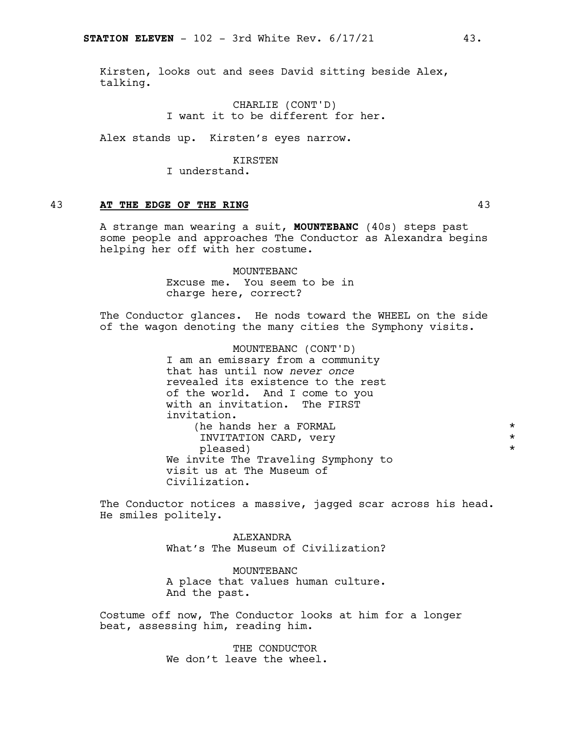Kirsten, looks out and sees David sitting beside Alex, talking.

> CHARLIE (CONT'D) I want it to be different for her.

Alex stands up. Kirsten's eyes narrow.

#### KIRSTEN

I understand.

#### 43 **AT THE EDGE OF THE RING** 43

A strange man wearing a suit, **MOUNTEBANC** (40s) steps past some people and approaches The Conductor as Alexandra begins helping her off with her costume.

> MOUNTEBANC Excuse me. You seem to be in charge here, correct?

The Conductor glances. He nods toward the WHEEL on the side of the wagon denoting the many cities the Symphony visits.

> MOUNTEBANC (CONT'D) I am an emissary from a community that has until now *never once* revealed its existence to the rest of the world. And I come to you with an invitation. The FIRST invitation. (he hands her a FORMAL  $\star$  TNVITATION CARD, very  $\star$ INVITATION CARD, very  $\star$ <br>pleased) pleased) We invite The Traveling Symphony to visit us at The Museum of Civilization.

The Conductor notices a massive, jagged scar across his head. He smiles politely.

> ALEXANDRA What's The Museum of Civilization?

> MOUNTEBANC A place that values human culture. And the past.

Costume off now, The Conductor looks at him for a longer beat, assessing him, reading him.

> THE CONDUCTOR We don't leave the wheel.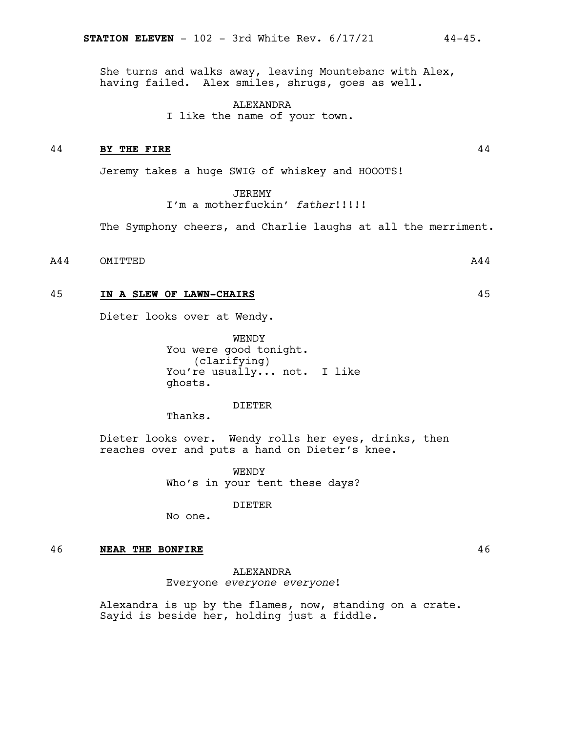She turns and walks away, leaving Mountebanc with Alex, having failed. Alex smiles, shrugs, goes as well.

> ALEXANDRA I like the name of your town.

#### 44 **BY THE FIRE** 44

Jeremy takes a huge SWIG of whiskey and HOOOTS!

**JEREMY** 

I'm a motherfuckin' *father*!!!!!

The Symphony cheers, and Charlie laughs at all the merriment.

A44 OMITTED

#### 45 **IN A SLEW OF LAWN-CHAIRS** 45

Dieter looks over at Wendy.

WENDY You were good tonight. (clarifying) You're usually... not. I like ghosts.

#### DIETER

Thanks.

Dieter looks over. Wendy rolls her eyes, drinks, then reaches over and puts a hand on Dieter's knee.

> WENDY Who's in your tent these days?

> > DIETER

No one.

#### 46 **NEAR THE BONFIRE** 46

**ALEXANDRA** Everyone *everyone everyone*!

Alexandra is up by the flames, now, standing on a crate. Sayid is beside her, holding just a fiddle.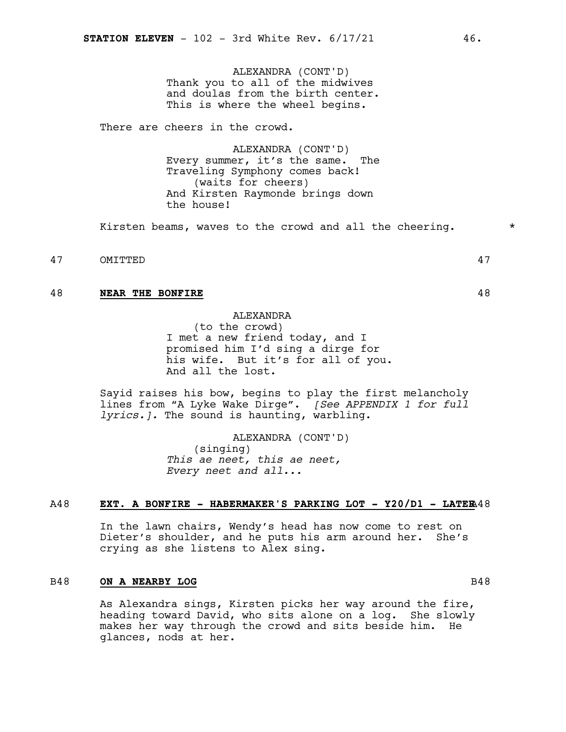ALEXANDRA (CONT'D) Thank you to all of the midwives and doulas from the birth center. This is where the wheel begins.

There are cheers in the crowd.

ALEXANDRA (CONT'D) Every summer, it's the same. The Traveling Symphony comes back! (waits for cheers) And Kirsten Raymonde brings down the house!

Kirsten beams, waves to the crowd and all the cheering.  $*$ 

47 OMITTED 47

#### 48 **NEAR THE BONFIRE** 48

**ALEXANDRA** 

(to the crowd) I met a new friend today, and I promised him I'd sing a dirge for his wife. But it's for all of you. And all the lost.

Sayid raises his bow, begins to play the first melancholy lines from "A Lyke Wake Dirge". *[See APPENDIX 1 for full lyrics.].* The sound is haunting, warbling.

> ALEXANDRA (CONT'D) (singing) *This ae neet, this ae neet, Every neet and all...*

#### A48 **EXT. A BONFIRE - HABERMAKER'S PARKING LOT - Y20/D1 - LATER**A48

In the lawn chairs, Wendy's head has now come to rest on Dieter's shoulder, and he puts his arm around her. She's crying as she listens to Alex sing.

#### B48 **ON A NEARBY LOG** B48

As Alexandra sings, Kirsten picks her way around the fire, heading toward David, who sits alone on a log. She slowly makes her way through the crowd and sits beside him. He glances, nods at her.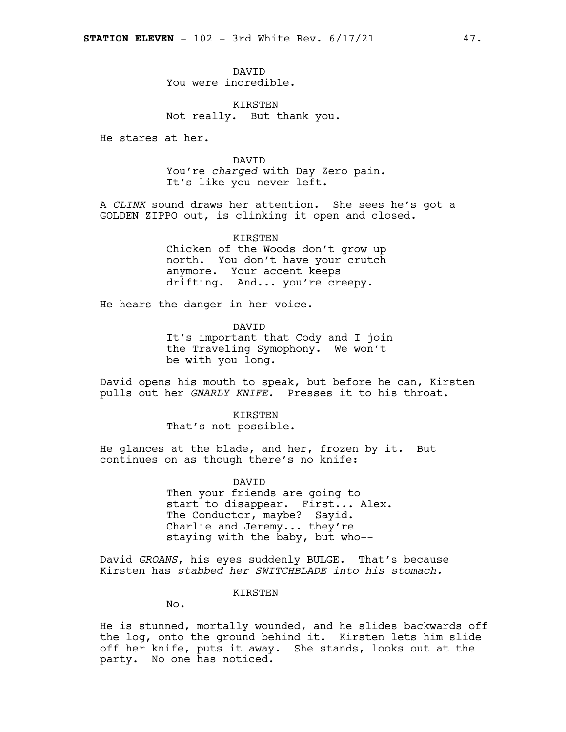DAVID You were incredible.

KIRSTEN Not really. But thank you.

He stares at her.

#### DAVID

You're *charged* with Day Zero pain. It's like you never left.

A *CLINK* sound draws her attention. She sees he's got a GOLDEN ZIPPO out, is clinking it open and closed.

> **KIRSTEN** Chicken of the Woods don't grow up north. You don't have your crutch anymore. Your accent keeps drifting. And... you're creepy.

He hears the danger in her voice.

DAVID It's important that Cody and I join the Traveling Symophony. We won't be with you long.

David opens his mouth to speak, but before he can, Kirsten pulls out her *GNARLY KNIFE*. Presses it to his throat.

> **KIRSTEN** That's not possible.

He glances at the blade, and her, frozen by it. But continues on as though there's no knife:

> DAVID Then your friends are going to start to disappear. First... Alex. The Conductor, maybe? Sayid. Charlie and Jeremy... they're staying with the baby, but who--

David *GROANS*, his eyes suddenly BULGE. That's because Kirsten has *stabbed her SWITCHBLADE into his stomach.*

KIRSTEN

No.

He is stunned, mortally wounded, and he slides backwards off the log, onto the ground behind it. Kirsten lets him slide off her knife, puts it away. She stands, looks out at the party. No one has noticed.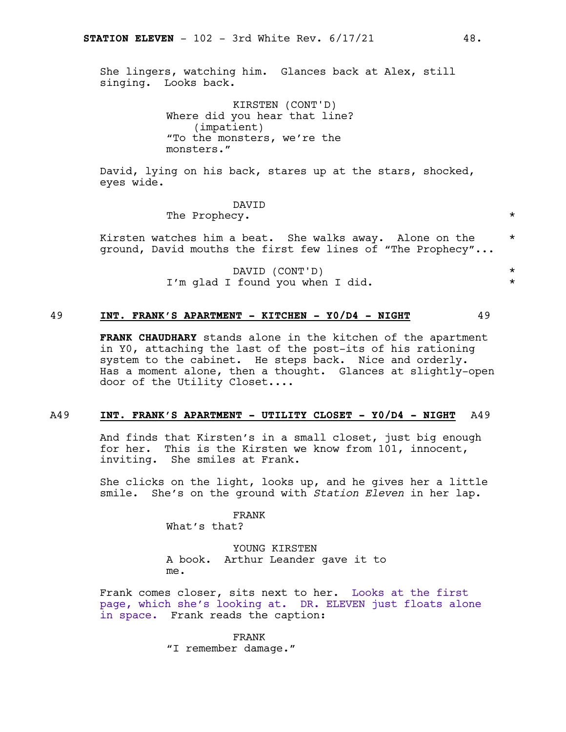She lingers, watching him. Glances back at Alex, still singing. Looks back.

> KIRSTEN (CONT'D) Where did you hear that line? (impatient) "To the monsters, we're the monsters."

David, lying on his back, stares up at the stars, shocked, eyes wide.

DAVID

The Prophecy.  $\star$ 

Kirsten watches him a beat. She walks away. Alone on the  $*$ ground, David mouths the first few lines of "The Prophecy"...

> DAVID (CONT'D) \* I'm glad I found you when I did.  $*$

#### 49 **INT. FRANK'S APARTMENT - KITCHEN - Y0/D4 - NIGHT** 49

**FRANK CHAUDHARY** stands alone in the kitchen of the apartment in Y0, attaching the last of the post-its of his rationing system to the cabinet. He steps back. Nice and orderly. Has a moment alone, then a thought. Glances at slightly-open door of the Utility Closet....

#### A49 **INT. FRANK'S APARTMENT - UTILITY CLOSET - Y0/D4 - NIGHT** A49

And finds that Kirsten's in a small closet, just big enough for her. This is the Kirsten we know from 101, innocent, inviting. She smiles at Frank.

She clicks on the light, looks up, and he gives her a little smile. She's on the ground with *Station Eleven* in her lap.

FRANK

What's that?

YOUNG KIRSTEN A book. Arthur Leander gave it to me.

Frank comes closer, sits next to her. Looks at the first page, which she's looking at. DR. ELEVEN just floats alone in space. Frank reads the caption:

> FRANK "I remember damage."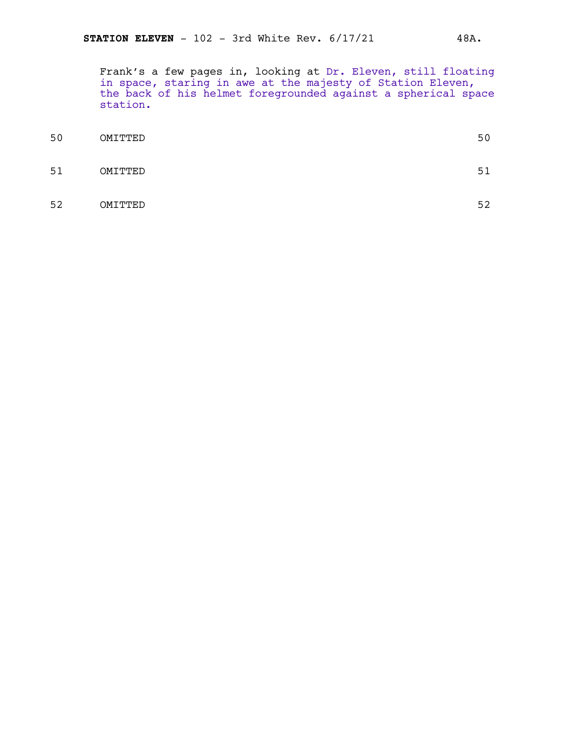Frank's a few pages in, looking at Dr. Eleven, still floating in space, staring in awe at the majesty of Station Eleven, the back of his helmet foregrounded against a spherical space station.

| 50 | OMITTED | 50 |
|----|---------|----|
| 51 | OMITTED | 51 |
| 52 | OMITTED | 52 |